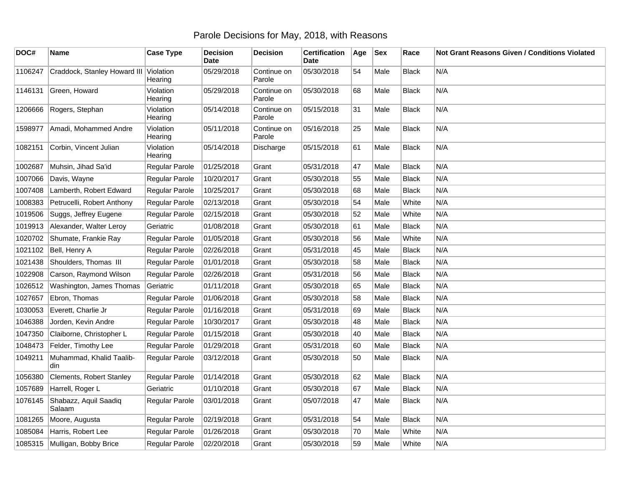## Parole Decisions for May, 2018, with Reasons

| DOC#    | Name                            | <b>Case Type</b>     | <b>Decision</b><br><b>Date</b> | <b>Decision</b>       | <b>Certification</b><br>Date | Age | <b>Sex</b> | Race         | Not Grant Reasons Given / Conditions Violated |
|---------|---------------------------------|----------------------|--------------------------------|-----------------------|------------------------------|-----|------------|--------------|-----------------------------------------------|
| 1106247 | Craddock, Stanley Howard III    | Violation<br>Hearing | 05/29/2018                     | Continue on<br>Parole | 05/30/2018                   | 54  | Male       | <b>Black</b> | N/A                                           |
| 1146131 | Green, Howard                   | Violation<br>Hearing | 05/29/2018                     | Continue on<br>Parole | 05/30/2018                   | 68  | Male       | <b>Black</b> | N/A                                           |
| 1206666 | Rogers, Stephan                 | Violation<br>Hearing | 05/14/2018                     | Continue on<br>Parole | 05/15/2018                   | 31  | Male       | <b>Black</b> | N/A                                           |
| 1598977 | Amadi, Mohammed Andre           | Violation<br>Hearing | 05/11/2018                     | Continue on<br>Parole | 05/16/2018                   | 25  | Male       | <b>Black</b> | N/A                                           |
| 1082151 | Corbin, Vincent Julian          | Violation<br>Hearing | 05/14/2018                     | Discharge             | 05/15/2018                   | 61  | Male       | Black        | N/A                                           |
| 1002687 | Muhsin, Jihad Sa'id             | Regular Parole       | 01/25/2018                     | Grant                 | 05/31/2018                   | 47  | Male       | <b>Black</b> | N/A                                           |
| 1007066 | Davis, Wayne                    | Regular Parole       | 10/20/2017                     | Grant                 | 05/30/2018                   | 55  | Male       | <b>Black</b> | N/A                                           |
| 1007408 | Lamberth, Robert Edward         | Regular Parole       | 10/25/2017                     | Grant                 | 05/30/2018                   | 68  | Male       | <b>Black</b> | N/A                                           |
| 1008383 | Petrucelli, Robert Anthony      | Regular Parole       | 02/13/2018                     | Grant                 | 05/30/2018                   | 54  | Male       | White        | N/A                                           |
| 1019506 | Suggs, Jeffrey Eugene           | Regular Parole       | 02/15/2018                     | Grant                 | 05/30/2018                   | 52  | Male       | White        | N/A                                           |
| 1019913 | Alexander, Walter Leroy         | Geriatric            | 01/08/2018                     | Grant                 | 05/30/2018                   | 61  | Male       | <b>Black</b> | N/A                                           |
| 1020702 | Shumate, Frankie Ray            | Regular Parole       | 01/05/2018                     | Grant                 | 05/30/2018                   | 56  | Male       | White        | N/A                                           |
| 1021102 | Bell, Henry A                   | Regular Parole       | 02/26/2018                     | Grant                 | 05/31/2018                   | 45  | Male       | <b>Black</b> | N/A                                           |
| 1021438 | Shoulders, Thomas III           | Regular Parole       | 01/01/2018                     | Grant                 | 05/30/2018                   | 58  | Male       | <b>Black</b> | N/A                                           |
| 1022908 | Carson, Raymond Wilson          | Regular Parole       | 02/26/2018                     | Grant                 | 05/31/2018                   | 56  | Male       | <b>Black</b> | N/A                                           |
| 1026512 | Washington, James Thomas        | Geriatric            | 01/11/2018                     | Grant                 | 05/30/2018                   | 65  | Male       | <b>Black</b> | N/A                                           |
| 1027657 | Ebron, Thomas                   | Regular Parole       | 01/06/2018                     | Grant                 | 05/30/2018                   | 58  | Male       | <b>Black</b> | N/A                                           |
| 1030053 | Everett, Charlie Jr             | Regular Parole       | 01/16/2018                     | Grant                 | 05/31/2018                   | 69  | Male       | <b>Black</b> | N/A                                           |
| 1046388 | Jorden, Kevin Andre             | Regular Parole       | 10/30/2017                     | Grant                 | 05/30/2018                   | 48  | Male       | <b>Black</b> | N/A                                           |
| 1047350 | Claiborne, Christopher L        | Regular Parole       | 01/15/2018                     | Grant                 | 05/30/2018                   | 40  | Male       | <b>Black</b> | N/A                                           |
| 1048473 | Felder, Timothy Lee             | Regular Parole       | 01/29/2018                     | Grant                 | 05/31/2018                   | 60  | Male       | <b>Black</b> | N/A                                           |
| 1049211 | Muhammad, Khalid Taalib-<br>din | Regular Parole       | 03/12/2018                     | Grant                 | 05/30/2018                   | 50  | Male       | <b>Black</b> | N/A                                           |
| 1056380 | Clements, Robert Stanley        | Regular Parole       | 01/14/2018                     | Grant                 | 05/30/2018                   | 62  | Male       | <b>Black</b> | N/A                                           |
| 1057689 | Harrell, Roger L                | Geriatric            | 01/10/2018                     | Grant                 | 05/30/2018                   | 67  | Male       | <b>Black</b> | N/A                                           |
| 1076145 | Shabazz, Aquil Saadiq<br>Salaam | Regular Parole       | 03/01/2018                     | Grant                 | 05/07/2018                   | 47  | Male       | <b>Black</b> | N/A                                           |
| 1081265 | Moore, Augusta                  | Regular Parole       | 02/19/2018                     | Grant                 | 05/31/2018                   | 54  | Male       | <b>Black</b> | N/A                                           |
| 1085084 | Harris, Robert Lee              | Regular Parole       | 01/26/2018                     | Grant                 | 05/30/2018                   | 70  | Male       | White        | N/A                                           |
| 1085315 | Mulligan, Bobby Brice           | Regular Parole       | 02/20/2018                     | Grant                 | 05/30/2018                   | 59  | Male       | White        | N/A                                           |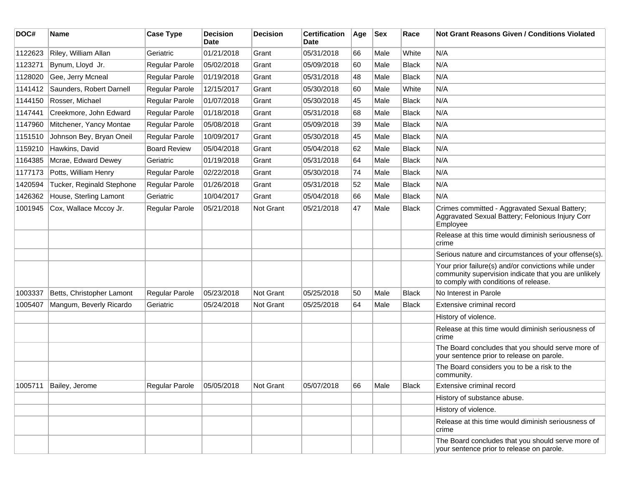| DOC#    | <b>Name</b>               | <b>Case Type</b>    | <b>Decision</b><br><b>Date</b> | <b>Decision</b>  | <b>Certification</b><br>Date | Age | <b>Sex</b> | Race         | Not Grant Reasons Given / Conditions Violated                                                                                                         |
|---------|---------------------------|---------------------|--------------------------------|------------------|------------------------------|-----|------------|--------------|-------------------------------------------------------------------------------------------------------------------------------------------------------|
| 1122623 | Riley, William Allan      | Geriatric           | 01/21/2018                     | Grant            | 05/31/2018                   | 66  | Male       | White        | N/A                                                                                                                                                   |
| 1123271 | Bynum, Lloyd Jr.          | Regular Parole      | 05/02/2018                     | Grant            | 05/09/2018                   | 60  | Male       | <b>Black</b> | N/A                                                                                                                                                   |
| 1128020 | Gee, Jerry Mcneal         | Regular Parole      | 01/19/2018                     | Grant            | 05/31/2018                   | 48  | Male       | <b>Black</b> | N/A                                                                                                                                                   |
| 1141412 | Saunders, Robert Darnell  | Regular Parole      | 12/15/2017                     | Grant            | 05/30/2018                   | 60  | Male       | White        | N/A                                                                                                                                                   |
| 1144150 | Rosser, Michael           | Regular Parole      | 01/07/2018                     | Grant            | 05/30/2018                   | 45  | Male       | <b>Black</b> | N/A                                                                                                                                                   |
| 1147441 | Creekmore, John Edward    | Regular Parole      | 01/18/2018                     | Grant            | 05/31/2018                   | 68  | Male       | <b>Black</b> | N/A                                                                                                                                                   |
| 1147960 | Mitchener, Yancy Montae   | Regular Parole      | 05/08/2018                     | Grant            | 05/09/2018                   | 39  | Male       | <b>Black</b> | N/A                                                                                                                                                   |
| 1151510 | Johnson Bey, Bryan Oneil  | Regular Parole      | 10/09/2017                     | Grant            | 05/30/2018                   | 45  | Male       | Black        | N/A                                                                                                                                                   |
| 1159210 | Hawkins, David            | <b>Board Review</b> | 05/04/2018                     | Grant            | 05/04/2018                   | 62  | Male       | <b>Black</b> | N/A                                                                                                                                                   |
| 1164385 | Mcrae, Edward Dewey       | Geriatric           | 01/19/2018                     | Grant            | 05/31/2018                   | 64  | Male       | Black        | N/A                                                                                                                                                   |
| 1177173 | Potts, William Henry      | Regular Parole      | 02/22/2018                     | Grant            | 05/30/2018                   | 74  | Male       | <b>Black</b> | N/A                                                                                                                                                   |
| 1420594 | Tucker, Reginald Stephone | Regular Parole      | 01/26/2018                     | Grant            | 05/31/2018                   | 52  | Male       | <b>Black</b> | N/A                                                                                                                                                   |
| 1426362 | House, Sterling Lamont    | Geriatric           | 10/04/2017                     | Grant            | 05/04/2018                   | 66  | Male       | <b>Black</b> | N/A                                                                                                                                                   |
| 1001945 | Cox, Wallace Mccoy Jr.    | Regular Parole      | 05/21/2018                     | <b>Not Grant</b> | 05/21/2018                   | 47  | Male       | <b>Black</b> | Crimes committed - Aggravated Sexual Battery;<br>Aggravated Sexual Battery; Felonious Injury Corr<br>Employee                                         |
|         |                           |                     |                                |                  |                              |     |            |              | Release at this time would diminish seriousness of<br>crime                                                                                           |
|         |                           |                     |                                |                  |                              |     |            |              | Serious nature and circumstances of your offense(s).                                                                                                  |
|         |                           |                     |                                |                  |                              |     |            |              | Your prior failure(s) and/or convictions while under<br>community supervision indicate that you are unlikely<br>to comply with conditions of release. |
| 1003337 | Betts, Christopher Lamont | Regular Parole      | 05/23/2018                     | Not Grant        | 05/25/2018                   | 50  | Male       | <b>Black</b> | No Interest in Parole                                                                                                                                 |
| 1005407 | Mangum, Beverly Ricardo   | Geriatric           | 05/24/2018                     | <b>Not Grant</b> | 05/25/2018                   | 64  | Male       | <b>Black</b> | Extensive criminal record                                                                                                                             |
|         |                           |                     |                                |                  |                              |     |            |              | History of violence.                                                                                                                                  |
|         |                           |                     |                                |                  |                              |     |            |              | Release at this time would diminish seriousness of<br>crime                                                                                           |
|         |                           |                     |                                |                  |                              |     |            |              | The Board concludes that you should serve more of<br>your sentence prior to release on parole.                                                        |
|         |                           |                     |                                |                  |                              |     |            |              | The Board considers you to be a risk to the<br>community.                                                                                             |
| 1005711 | Bailey, Jerome            | Regular Parole      | 05/05/2018                     | Not Grant        | 05/07/2018                   | 66  | Male       | <b>Black</b> | Extensive criminal record                                                                                                                             |
|         |                           |                     |                                |                  |                              |     |            |              | History of substance abuse.                                                                                                                           |
|         |                           |                     |                                |                  |                              |     |            |              | History of violence.                                                                                                                                  |
|         |                           |                     |                                |                  |                              |     |            |              | Release at this time would diminish seriousness of<br>crime                                                                                           |
|         |                           |                     |                                |                  |                              |     |            |              | The Board concludes that you should serve more of<br>your sentence prior to release on parole.                                                        |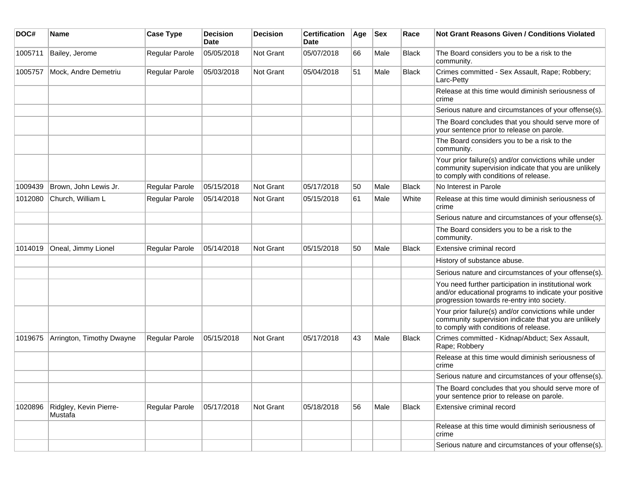| DOC#    | Name                              | <b>Case Type</b> | <b>Decision</b><br>Date | <b>Decision</b>  | <b>Certification</b><br><b>Date</b> | Age | <b>Sex</b> | Race         | <b>Not Grant Reasons Given / Conditions Violated</b>                                                                                                        |
|---------|-----------------------------------|------------------|-------------------------|------------------|-------------------------------------|-----|------------|--------------|-------------------------------------------------------------------------------------------------------------------------------------------------------------|
| 1005711 | Bailey, Jerome                    | Regular Parole   | 05/05/2018              | Not Grant        | 05/07/2018                          | 66  | Male       | <b>Black</b> | The Board considers you to be a risk to the<br>community.                                                                                                   |
| 1005757 | Mock, Andre Demetriu              | Regular Parole   | 05/03/2018              | Not Grant        | 05/04/2018                          | 51  | Male       | <b>Black</b> | Crimes committed - Sex Assault, Rape; Robbery;<br>Larc-Petty                                                                                                |
|         |                                   |                  |                         |                  |                                     |     |            |              | Release at this time would diminish seriousness of<br>crime                                                                                                 |
|         |                                   |                  |                         |                  |                                     |     |            |              | Serious nature and circumstances of your offense(s).                                                                                                        |
|         |                                   |                  |                         |                  |                                     |     |            |              | The Board concludes that you should serve more of<br>your sentence prior to release on parole.                                                              |
|         |                                   |                  |                         |                  |                                     |     |            |              | The Board considers you to be a risk to the<br>community.                                                                                                   |
|         |                                   |                  |                         |                  |                                     |     |            |              | Your prior failure(s) and/or convictions while under<br>community supervision indicate that you are unlikely<br>to comply with conditions of release.       |
| 1009439 | Brown, John Lewis Jr.             | Regular Parole   | 05/15/2018              | Not Grant        | 05/17/2018                          | 50  | Male       | <b>Black</b> | No Interest in Parole                                                                                                                                       |
| 1012080 | Church, William L                 | Regular Parole   | 05/14/2018              | <b>Not Grant</b> | 05/15/2018                          | 61  | Male       | White        | Release at this time would diminish seriousness of<br>crime                                                                                                 |
|         |                                   |                  |                         |                  |                                     |     |            |              | Serious nature and circumstances of your offense(s).                                                                                                        |
|         |                                   |                  |                         |                  |                                     |     |            |              | The Board considers you to be a risk to the<br>community.                                                                                                   |
| 1014019 | Oneal, Jimmy Lionel               | Regular Parole   | 05/14/2018              | Not Grant        | 05/15/2018                          | 50  | Male       | <b>Black</b> | Extensive criminal record                                                                                                                                   |
|         |                                   |                  |                         |                  |                                     |     |            |              | History of substance abuse.                                                                                                                                 |
|         |                                   |                  |                         |                  |                                     |     |            |              | Serious nature and circumstances of your offense(s).                                                                                                        |
|         |                                   |                  |                         |                  |                                     |     |            |              | You need further participation in institutional work<br>and/or educational programs to indicate your positive<br>progression towards re-entry into society. |
|         |                                   |                  |                         |                  |                                     |     |            |              | Your prior failure(s) and/or convictions while under<br>community supervision indicate that you are unlikely<br>to comply with conditions of release.       |
| 1019675 | Arrington, Timothy Dwayne         | Regular Parole   | 05/15/2018              | Not Grant        | 05/17/2018                          | 43  | Male       | Black        | Crimes committed - Kidnap/Abduct; Sex Assault,<br>Rape; Robbery                                                                                             |
|         |                                   |                  |                         |                  |                                     |     |            |              | Release at this time would diminish seriousness of<br>crime                                                                                                 |
|         |                                   |                  |                         |                  |                                     |     |            |              | Serious nature and circumstances of your offense(s).                                                                                                        |
|         |                                   |                  |                         |                  |                                     |     |            |              | The Board concludes that you should serve more of<br>your sentence prior to release on parole.                                                              |
| 1020896 | Ridgley, Kevin Pierre-<br>Mustafa | Regular Parole   | 05/17/2018              | Not Grant        | 05/18/2018                          | 56  | Male       | Black        | Extensive criminal record                                                                                                                                   |
|         |                                   |                  |                         |                  |                                     |     |            |              | Release at this time would diminish seriousness of<br>crime                                                                                                 |
|         |                                   |                  |                         |                  |                                     |     |            |              | Serious nature and circumstances of your offense(s).                                                                                                        |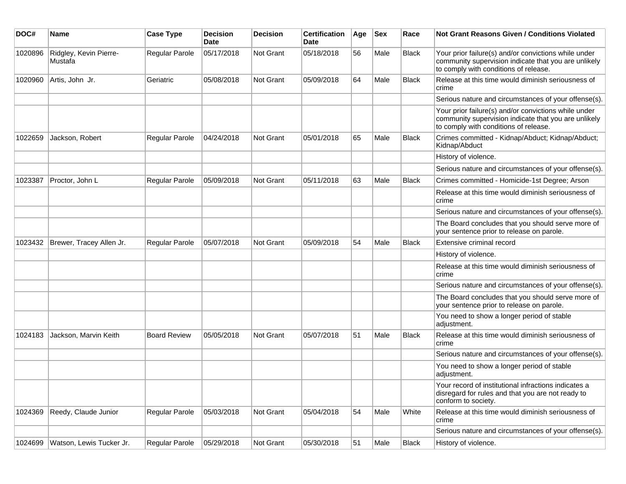| DOC#    | <b>Name</b>                       | <b>Case Type</b>      | <b>Decision</b><br>Date | <b>Decision</b> | <b>Certification</b><br>Date | Age | <b>Sex</b> | Race         | Not Grant Reasons Given / Conditions Violated                                                                                                         |
|---------|-----------------------------------|-----------------------|-------------------------|-----------------|------------------------------|-----|------------|--------------|-------------------------------------------------------------------------------------------------------------------------------------------------------|
| 1020896 | Ridgley, Kevin Pierre-<br>Mustafa | Regular Parole        | 05/17/2018              | Not Grant       | 05/18/2018                   | 56  | Male       | <b>Black</b> | Your prior failure(s) and/or convictions while under<br>community supervision indicate that you are unlikely<br>to comply with conditions of release. |
| 1020960 | Artis, John Jr.                   | Geriatric             | 05/08/2018              | Not Grant       | 05/09/2018                   | 64  | Male       | <b>Black</b> | Release at this time would diminish seriousness of<br>crime                                                                                           |
|         |                                   |                       |                         |                 |                              |     |            |              | Serious nature and circumstances of your offense(s).                                                                                                  |
|         |                                   |                       |                         |                 |                              |     |            |              | Your prior failure(s) and/or convictions while under<br>community supervision indicate that you are unlikely<br>to comply with conditions of release. |
| 1022659 | Jackson, Robert                   | Regular Parole        | 04/24/2018              | Not Grant       | 05/01/2018                   | 65  | Male       | <b>Black</b> | Crimes committed - Kidnap/Abduct; Kidnap/Abduct;<br>Kidnap/Abduct                                                                                     |
|         |                                   |                       |                         |                 |                              |     |            |              | History of violence.                                                                                                                                  |
|         |                                   |                       |                         |                 |                              |     |            |              | Serious nature and circumstances of your offense(s).                                                                                                  |
| 1023387 | Proctor, John L                   | <b>Regular Parole</b> | 05/09/2018              | Not Grant       | 05/11/2018                   | 63  | Male       | <b>Black</b> | Crimes committed - Homicide-1st Degree; Arson                                                                                                         |
|         |                                   |                       |                         |                 |                              |     |            |              | Release at this time would diminish seriousness of<br>crime                                                                                           |
|         |                                   |                       |                         |                 |                              |     |            |              | Serious nature and circumstances of your offense(s).                                                                                                  |
|         |                                   |                       |                         |                 |                              |     |            |              | The Board concludes that you should serve more of<br>your sentence prior to release on parole.                                                        |
| 1023432 | Brewer, Tracey Allen Jr.          | <b>Regular Parole</b> | 05/07/2018              | Not Grant       | 05/09/2018                   | 54  | Male       | <b>Black</b> | Extensive criminal record                                                                                                                             |
|         |                                   |                       |                         |                 |                              |     |            |              | History of violence.                                                                                                                                  |
|         |                                   |                       |                         |                 |                              |     |            |              | Release at this time would diminish seriousness of<br>crime                                                                                           |
|         |                                   |                       |                         |                 |                              |     |            |              | Serious nature and circumstances of your offense(s).                                                                                                  |
|         |                                   |                       |                         |                 |                              |     |            |              | The Board concludes that you should serve more of<br>your sentence prior to release on parole.                                                        |
|         |                                   |                       |                         |                 |                              |     |            |              | You need to show a longer period of stable<br>adjustment.                                                                                             |
| 1024183 | Jackson, Marvin Keith             | <b>Board Review</b>   | 05/05/2018              | Not Grant       | 05/07/2018                   | 51  | Male       | <b>Black</b> | Release at this time would diminish seriousness of<br>crime                                                                                           |
|         |                                   |                       |                         |                 |                              |     |            |              | Serious nature and circumstances of your offense(s).                                                                                                  |
|         |                                   |                       |                         |                 |                              |     |            |              | You need to show a longer period of stable<br>adjustment.                                                                                             |
|         |                                   |                       |                         |                 |                              |     |            |              | Your record of institutional infractions indicates a<br>disregard for rules and that you are not ready to<br>conform to society.                      |
| 1024369 | Reedy, Claude Junior              | Regular Parole        | 05/03/2018              | Not Grant       | 05/04/2018                   | 54  | Male       | White        | Release at this time would diminish seriousness of<br>crime                                                                                           |
|         |                                   |                       |                         |                 |                              |     |            |              | Serious nature and circumstances of your offense(s).                                                                                                  |
| 1024699 | Watson, Lewis Tucker Jr.          | Regular Parole        | 05/29/2018              | Not Grant       | 05/30/2018                   | 51  | Male       | Black        | History of violence.                                                                                                                                  |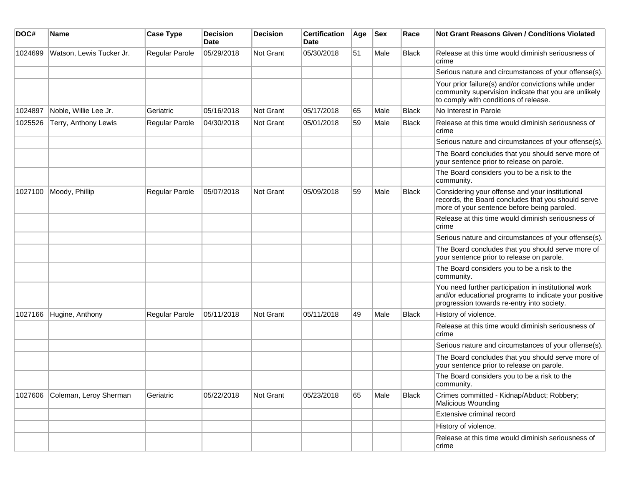| DOC#    | <b>Name</b>              | <b>Case Type</b> | <b>Decision</b><br><b>Date</b> | <b>Decision</b> | <b>Certification</b><br>Date | Age | <b>Sex</b> | Race         | Not Grant Reasons Given / Conditions Violated                                                                                                               |
|---------|--------------------------|------------------|--------------------------------|-----------------|------------------------------|-----|------------|--------------|-------------------------------------------------------------------------------------------------------------------------------------------------------------|
| 1024699 | Watson, Lewis Tucker Jr. | Regular Parole   | 05/29/2018                     | Not Grant       | 05/30/2018                   | 51  | Male       | <b>Black</b> | Release at this time would diminish seriousness of<br>crime                                                                                                 |
|         |                          |                  |                                |                 |                              |     |            |              | Serious nature and circumstances of your offense(s).                                                                                                        |
|         |                          |                  |                                |                 |                              |     |            |              | Your prior failure(s) and/or convictions while under<br>community supervision indicate that you are unlikely<br>to comply with conditions of release.       |
| 1024897 | Noble, Willie Lee Jr.    | Geriatric        | 05/16/2018                     | Not Grant       | 05/17/2018                   | 65  | Male       | <b>Black</b> | No Interest in Parole                                                                                                                                       |
| 1025526 | Terry, Anthony Lewis     | Regular Parole   | 04/30/2018                     | Not Grant       | 05/01/2018                   | 59  | Male       | <b>Black</b> | Release at this time would diminish seriousness of<br>crime                                                                                                 |
|         |                          |                  |                                |                 |                              |     |            |              | Serious nature and circumstances of your offense(s).                                                                                                        |
|         |                          |                  |                                |                 |                              |     |            |              | The Board concludes that you should serve more of<br>your sentence prior to release on parole.                                                              |
|         |                          |                  |                                |                 |                              |     |            |              | The Board considers you to be a risk to the<br>community.                                                                                                   |
| 1027100 | Moody, Phillip           | Regular Parole   | 05/07/2018                     | Not Grant       | 05/09/2018                   | 59  | Male       | <b>Black</b> | Considering your offense and your institutional<br>records, the Board concludes that you should serve<br>more of your sentence before being paroled.        |
|         |                          |                  |                                |                 |                              |     |            |              | Release at this time would diminish seriousness of<br>crime                                                                                                 |
|         |                          |                  |                                |                 |                              |     |            |              | Serious nature and circumstances of your offense(s).                                                                                                        |
|         |                          |                  |                                |                 |                              |     |            |              | The Board concludes that you should serve more of<br>your sentence prior to release on parole.                                                              |
|         |                          |                  |                                |                 |                              |     |            |              | The Board considers you to be a risk to the<br>community.                                                                                                   |
|         |                          |                  |                                |                 |                              |     |            |              | You need further participation in institutional work<br>and/or educational programs to indicate your positive<br>progression towards re-entry into society. |
| 1027166 | Hugine, Anthony          | Regular Parole   | 05/11/2018                     | Not Grant       | 05/11/2018                   | 49  | Male       | <b>Black</b> | History of violence.                                                                                                                                        |
|         |                          |                  |                                |                 |                              |     |            |              | Release at this time would diminish seriousness of<br>crime                                                                                                 |
|         |                          |                  |                                |                 |                              |     |            |              | Serious nature and circumstances of your offense(s).                                                                                                        |
|         |                          |                  |                                |                 |                              |     |            |              | The Board concludes that you should serve more of<br>your sentence prior to release on parole.                                                              |
|         |                          |                  |                                |                 |                              |     |            |              | The Board considers you to be a risk to the<br>community.                                                                                                   |
| 1027606 | Coleman, Leroy Sherman   | Geriatric        | 05/22/2018                     | Not Grant       | 05/23/2018                   | 65  | Male       | <b>Black</b> | Crimes committed - Kidnap/Abduct; Robbery;<br>Malicious Wounding                                                                                            |
|         |                          |                  |                                |                 |                              |     |            |              | Extensive criminal record                                                                                                                                   |
|         |                          |                  |                                |                 |                              |     |            |              | History of violence.                                                                                                                                        |
|         |                          |                  |                                |                 |                              |     |            |              | Release at this time would diminish seriousness of<br>crime                                                                                                 |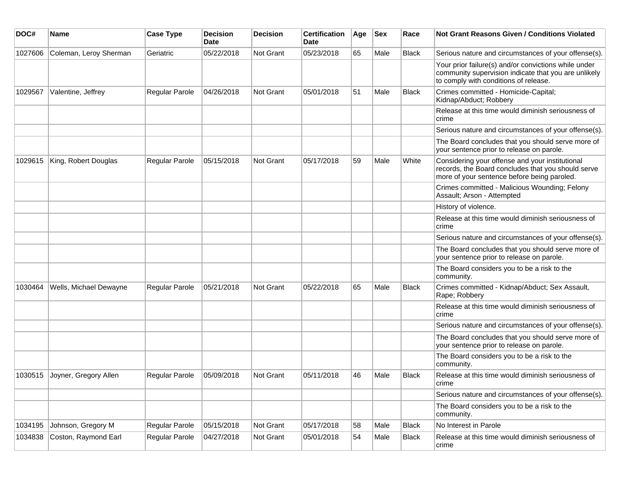| DOC#    | <b>Name</b>            | <b>Case Type</b>      | <b>Decision</b><br>Date | <b>Decision</b> | <b>Certification</b><br>Date | Age | <b>Sex</b> | Race         | <b>Not Grant Reasons Given / Conditions Violated</b>                                                                                                  |
|---------|------------------------|-----------------------|-------------------------|-----------------|------------------------------|-----|------------|--------------|-------------------------------------------------------------------------------------------------------------------------------------------------------|
| 1027606 | Coleman, Leroy Sherman | Geriatric             | 05/22/2018              | Not Grant       | 05/23/2018                   | 65  | Male       | Black        | Serious nature and circumstances of your offense(s).                                                                                                  |
|         |                        |                       |                         |                 |                              |     |            |              | Your prior failure(s) and/or convictions while under<br>community supervision indicate that you are unlikely<br>to comply with conditions of release. |
| 1029567 | Valentine, Jeffrey     | Regular Parole        | 04/26/2018              | Not Grant       | 05/01/2018                   | 51  | Male       | <b>Black</b> | Crimes committed - Homicide-Capital;<br>Kidnap/Abduct; Robbery                                                                                        |
|         |                        |                       |                         |                 |                              |     |            |              | Release at this time would diminish seriousness of<br>crime                                                                                           |
|         |                        |                       |                         |                 |                              |     |            |              | Serious nature and circumstances of your offense(s).                                                                                                  |
|         |                        |                       |                         |                 |                              |     |            |              | The Board concludes that you should serve more of<br>your sentence prior to release on parole.                                                        |
| 1029615 | King, Robert Douglas   | Regular Parole        | 05/15/2018              | Not Grant       | 05/17/2018                   | 59  | Male       | White        | Considering your offense and your institutional<br>records, the Board concludes that you should serve<br>more of your sentence before being paroled.  |
|         |                        |                       |                         |                 |                              |     |            |              | Crimes committed - Malicious Wounding; Felony<br>Assault; Arson - Attempted                                                                           |
|         |                        |                       |                         |                 |                              |     |            |              | History of violence.                                                                                                                                  |
|         |                        |                       |                         |                 |                              |     |            |              | Release at this time would diminish seriousness of<br>crime                                                                                           |
|         |                        |                       |                         |                 |                              |     |            |              | Serious nature and circumstances of your offense(s).                                                                                                  |
|         |                        |                       |                         |                 |                              |     |            |              | The Board concludes that you should serve more of<br>your sentence prior to release on parole.                                                        |
|         |                        |                       |                         |                 |                              |     |            |              | The Board considers you to be a risk to the<br>community.                                                                                             |
| 1030464 | Wells, Michael Dewayne | <b>Regular Parole</b> | 05/21/2018              | Not Grant       | 05/22/2018                   | 65  | Male       | <b>Black</b> | Crimes committed - Kidnap/Abduct; Sex Assault,<br>Rape; Robbery                                                                                       |
|         |                        |                       |                         |                 |                              |     |            |              | Release at this time would diminish seriousness of<br>crime                                                                                           |
|         |                        |                       |                         |                 |                              |     |            |              | Serious nature and circumstances of your offense(s).                                                                                                  |
|         |                        |                       |                         |                 |                              |     |            |              | The Board concludes that you should serve more of<br>your sentence prior to release on parole.                                                        |
|         |                        |                       |                         |                 |                              |     |            |              | The Board considers you to be a risk to the<br>community.                                                                                             |
| 1030515 | Joyner, Gregory Allen  | Regular Parole        | 05/09/2018              | Not Grant       | 05/11/2018                   | 46  | Male       | <b>Black</b> | Release at this time would diminish seriousness of<br>crime                                                                                           |
|         |                        |                       |                         |                 |                              |     |            |              | Serious nature and circumstances of your offense(s).                                                                                                  |
|         |                        |                       |                         |                 |                              |     |            |              | The Board considers you to be a risk to the<br>community.                                                                                             |
| 1034195 | Johnson, Gregory M     | Regular Parole        | 05/15/2018              | Not Grant       | 05/17/2018                   | 58  | Male       | <b>Black</b> | No Interest in Parole                                                                                                                                 |
| 1034838 | Coston, Raymond Earl   | Regular Parole        | 04/27/2018              | Not Grant       | 05/01/2018                   | 54  | Male       | <b>Black</b> | Release at this time would diminish seriousness of<br>crime                                                                                           |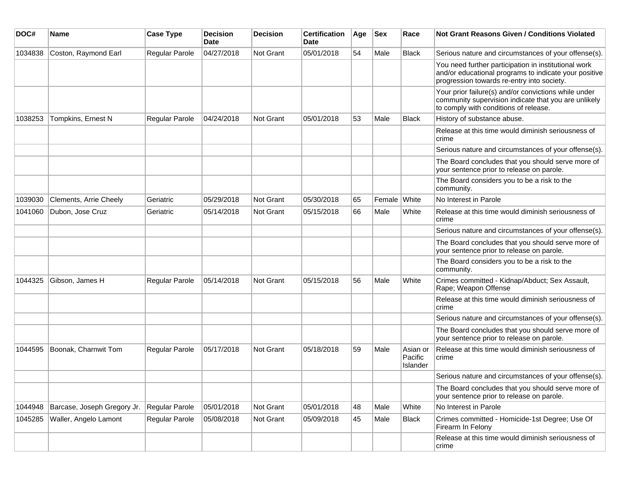| DOC#    | <b>Name</b>                 | <b>Case Type</b> | <b>Decision</b><br>Date | <b>Decision</b> | <b>Certification</b><br>Date | Age | <b>Sex</b>   | Race                            | Not Grant Reasons Given / Conditions Violated                                                                                                               |
|---------|-----------------------------|------------------|-------------------------|-----------------|------------------------------|-----|--------------|---------------------------------|-------------------------------------------------------------------------------------------------------------------------------------------------------------|
| 1034838 | Coston, Raymond Earl        | Regular Parole   | 04/27/2018              | Not Grant       | 05/01/2018                   | 54  | Male         | <b>Black</b>                    | Serious nature and circumstances of your offense(s).                                                                                                        |
|         |                             |                  |                         |                 |                              |     |              |                                 | You need further participation in institutional work<br>and/or educational programs to indicate your positive<br>progression towards re-entry into society. |
|         |                             |                  |                         |                 |                              |     |              |                                 | Your prior failure(s) and/or convictions while under<br>community supervision indicate that you are unlikely<br>to comply with conditions of release.       |
| 1038253 | Tompkins, Ernest N          | Regular Parole   | 04/24/2018              | Not Grant       | 05/01/2018                   | 53  | Male         | <b>Black</b>                    | History of substance abuse.                                                                                                                                 |
|         |                             |                  |                         |                 |                              |     |              |                                 | Release at this time would diminish seriousness of<br>crime                                                                                                 |
|         |                             |                  |                         |                 |                              |     |              |                                 | Serious nature and circumstances of your offense(s).                                                                                                        |
|         |                             |                  |                         |                 |                              |     |              |                                 | The Board concludes that you should serve more of<br>your sentence prior to release on parole.                                                              |
|         |                             |                  |                         |                 |                              |     |              |                                 | The Board considers you to be a risk to the<br>community.                                                                                                   |
| 1039030 | Clements, Arrie Cheely      | Geriatric        | 05/29/2018              | Not Grant       | 05/30/2018                   | 65  | Female White |                                 | No Interest in Parole                                                                                                                                       |
| 1041060 | Dubon, Jose Cruz            | Geriatric        | 05/14/2018              | Not Grant       | 05/15/2018                   | 66  | Male         | White                           | Release at this time would diminish seriousness of<br>crime                                                                                                 |
|         |                             |                  |                         |                 |                              |     |              |                                 | Serious nature and circumstances of your offense(s).                                                                                                        |
|         |                             |                  |                         |                 |                              |     |              |                                 | The Board concludes that you should serve more of<br>your sentence prior to release on parole.                                                              |
|         |                             |                  |                         |                 |                              |     |              |                                 | The Board considers you to be a risk to the<br>community.                                                                                                   |
| 1044325 | Gibson, James H             | Regular Parole   | 05/14/2018              | Not Grant       | 05/15/2018                   | 56  | Male         | White                           | Crimes committed - Kidnap/Abduct; Sex Assault,<br>Rape; Weapon Offense                                                                                      |
|         |                             |                  |                         |                 |                              |     |              |                                 | Release at this time would diminish seriousness of<br>crime                                                                                                 |
|         |                             |                  |                         |                 |                              |     |              |                                 | Serious nature and circumstances of your offense(s).                                                                                                        |
|         |                             |                  |                         |                 |                              |     |              |                                 | The Board concludes that you should serve more of<br>your sentence prior to release on parole.                                                              |
| 1044595 | Boonak, Charnwit Tom        | Regular Parole   | 05/17/2018              | Not Grant       | 05/18/2018                   | 59  | Male         | Asian or<br>Pacific<br>Islander | Release at this time would diminish seriousness of<br>crime                                                                                                 |
|         |                             |                  |                         |                 |                              |     |              |                                 | Serious nature and circumstances of your offense(s).                                                                                                        |
|         |                             |                  |                         |                 |                              |     |              |                                 | The Board concludes that you should serve more of<br>your sentence prior to release on parole.                                                              |
| 1044948 | Barcase, Joseph Gregory Jr. | Regular Parole   | 05/01/2018              | Not Grant       | 05/01/2018                   | 48  | Male         | White                           | No Interest in Parole                                                                                                                                       |
| 1045285 | Waller, Angelo Lamont       | Regular Parole   | 05/08/2018              | Not Grant       | 05/09/2018                   | 45  | Male         | <b>Black</b>                    | Crimes committed - Homicide-1st Degree; Use Of<br>Firearm In Felony                                                                                         |
|         |                             |                  |                         |                 |                              |     |              |                                 | Release at this time would diminish seriousness of<br>crime                                                                                                 |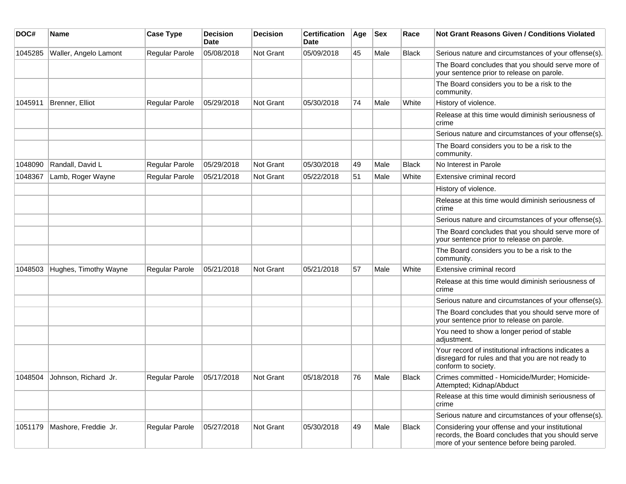| DOC#    | Name                  | <b>Case Type</b>      | <b>Decision</b><br>Date | <b>Decision</b> | <b>Certification</b><br>Date | Age | <b>Sex</b> | Race         | Not Grant Reasons Given / Conditions Violated                                                                                                        |
|---------|-----------------------|-----------------------|-------------------------|-----------------|------------------------------|-----|------------|--------------|------------------------------------------------------------------------------------------------------------------------------------------------------|
| 1045285 | Waller, Angelo Lamont | Regular Parole        | 05/08/2018              | Not Grant       | 05/09/2018                   | 45  | Male       | <b>Black</b> | Serious nature and circumstances of your offense(s).                                                                                                 |
|         |                       |                       |                         |                 |                              |     |            |              | The Board concludes that you should serve more of<br>your sentence prior to release on parole.                                                       |
|         |                       |                       |                         |                 |                              |     |            |              | The Board considers you to be a risk to the<br>community.                                                                                            |
| 1045911 | Brenner, Elliot       | Regular Parole        | 05/29/2018              | Not Grant       | 05/30/2018                   | 74  | Male       | White        | History of violence.                                                                                                                                 |
|         |                       |                       |                         |                 |                              |     |            |              | Release at this time would diminish seriousness of<br>crime                                                                                          |
|         |                       |                       |                         |                 |                              |     |            |              | Serious nature and circumstances of your offense(s).                                                                                                 |
|         |                       |                       |                         |                 |                              |     |            |              | The Board considers you to be a risk to the<br>community.                                                                                            |
| 1048090 | Randall, David L      | Regular Parole        | 05/29/2018              | Not Grant       | 05/30/2018                   | 49  | Male       | <b>Black</b> | No Interest in Parole                                                                                                                                |
| 1048367 | Lamb, Roger Wayne     | Regular Parole        | 05/21/2018              | Not Grant       | 05/22/2018                   | 51  | Male       | White        | Extensive criminal record                                                                                                                            |
|         |                       |                       |                         |                 |                              |     |            |              | History of violence.                                                                                                                                 |
|         |                       |                       |                         |                 |                              |     |            |              | Release at this time would diminish seriousness of<br>crime                                                                                          |
|         |                       |                       |                         |                 |                              |     |            |              | Serious nature and circumstances of your offense(s).                                                                                                 |
|         |                       |                       |                         |                 |                              |     |            |              | The Board concludes that you should serve more of<br>your sentence prior to release on parole.                                                       |
|         |                       |                       |                         |                 |                              |     |            |              | The Board considers you to be a risk to the<br>community.                                                                                            |
| 1048503 | Hughes, Timothy Wayne | Regular Parole        | 05/21/2018              | Not Grant       | 05/21/2018                   | 57  | Male       | White        | Extensive criminal record                                                                                                                            |
|         |                       |                       |                         |                 |                              |     |            |              | Release at this time would diminish seriousness of<br>crime                                                                                          |
|         |                       |                       |                         |                 |                              |     |            |              | Serious nature and circumstances of your offense(s).                                                                                                 |
|         |                       |                       |                         |                 |                              |     |            |              | The Board concludes that you should serve more of<br>your sentence prior to release on parole.                                                       |
|         |                       |                       |                         |                 |                              |     |            |              | You need to show a longer period of stable<br>adjustment.                                                                                            |
|         |                       |                       |                         |                 |                              |     |            |              | Your record of institutional infractions indicates a<br>disregard for rules and that you are not ready to<br>conform to society.                     |
| 1048504 | Johnson, Richard Jr.  | <b>Regular Parole</b> | 05/17/2018              | Not Grant       | 05/18/2018                   | 76  | Male       | <b>Black</b> | Crimes committed - Homicide/Murder; Homicide-<br>Attempted; Kidnap/Abduct                                                                            |
|         |                       |                       |                         |                 |                              |     |            |              | Release at this time would diminish seriousness of<br>crime                                                                                          |
|         |                       |                       |                         |                 |                              |     |            |              | Serious nature and circumstances of your offense(s).                                                                                                 |
| 1051179 | Mashore, Freddie Jr.  | Regular Parole        | 05/27/2018              | Not Grant       | 05/30/2018                   | 49  | Male       | Black        | Considering your offense and your institutional<br>records, the Board concludes that you should serve<br>more of your sentence before being paroled. |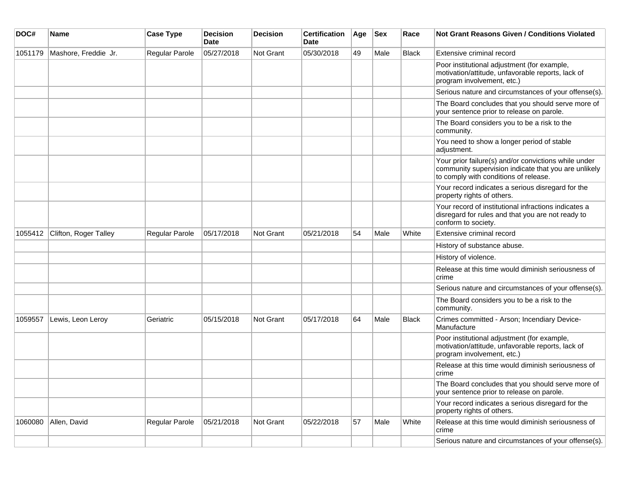| DOC#    | <b>Name</b>           | <b>Case Type</b>      | <b>Decision</b><br><b>Date</b> | <b>Decision</b>  | <b>Certification</b><br><b>Date</b> | Age | <b>Sex</b> | Race  | Not Grant Reasons Given / Conditions Violated                                                                                                         |
|---------|-----------------------|-----------------------|--------------------------------|------------------|-------------------------------------|-----|------------|-------|-------------------------------------------------------------------------------------------------------------------------------------------------------|
| 1051179 | Mashore, Freddie Jr.  | Regular Parole        | 05/27/2018                     | <b>Not Grant</b> | 05/30/2018                          | 49  | Male       | Black | Extensive criminal record                                                                                                                             |
|         |                       |                       |                                |                  |                                     |     |            |       | Poor institutional adjustment (for example,<br>motivation/attitude, unfavorable reports, lack of<br>program involvement, etc.)                        |
|         |                       |                       |                                |                  |                                     |     |            |       | Serious nature and circumstances of your offense(s).                                                                                                  |
|         |                       |                       |                                |                  |                                     |     |            |       | The Board concludes that you should serve more of<br>your sentence prior to release on parole.                                                        |
|         |                       |                       |                                |                  |                                     |     |            |       | The Board considers you to be a risk to the<br>community.                                                                                             |
|         |                       |                       |                                |                  |                                     |     |            |       | You need to show a longer period of stable<br>adjustment.                                                                                             |
|         |                       |                       |                                |                  |                                     |     |            |       | Your prior failure(s) and/or convictions while under<br>community supervision indicate that you are unlikely<br>to comply with conditions of release. |
|         |                       |                       |                                |                  |                                     |     |            |       | Your record indicates a serious disregard for the<br>property rights of others.                                                                       |
|         |                       |                       |                                |                  |                                     |     |            |       | Your record of institutional infractions indicates a<br>disregard for rules and that you are not ready to<br>conform to society.                      |
| 1055412 | Clifton, Roger Talley | Regular Parole        | 05/17/2018                     | Not Grant        | 05/21/2018                          | 54  | Male       | White | Extensive criminal record                                                                                                                             |
|         |                       |                       |                                |                  |                                     |     |            |       | History of substance abuse.                                                                                                                           |
|         |                       |                       |                                |                  |                                     |     |            |       | History of violence.                                                                                                                                  |
|         |                       |                       |                                |                  |                                     |     |            |       | Release at this time would diminish seriousness of<br>crime                                                                                           |
|         |                       |                       |                                |                  |                                     |     |            |       | Serious nature and circumstances of your offense(s).                                                                                                  |
|         |                       |                       |                                |                  |                                     |     |            |       | The Board considers you to be a risk to the<br>community.                                                                                             |
| 1059557 | Lewis, Leon Leroy     | Geriatric             | 05/15/2018                     | <b>Not Grant</b> | 05/17/2018                          | 64  | Male       | Black | Crimes committed - Arson; Incendiary Device-<br>Manufacture                                                                                           |
|         |                       |                       |                                |                  |                                     |     |            |       | Poor institutional adjustment (for example,<br>motivation/attitude, unfavorable reports, lack of<br>program involvement, etc.)                        |
|         |                       |                       |                                |                  |                                     |     |            |       | Release at this time would diminish seriousness of<br>crime                                                                                           |
|         |                       |                       |                                |                  |                                     |     |            |       | The Board concludes that you should serve more of<br>your sentence prior to release on parole.                                                        |
|         |                       |                       |                                |                  |                                     |     |            |       | Your record indicates a serious disregard for the<br>property rights of others.                                                                       |
| 1060080 | Allen, David          | <b>Regular Parole</b> | 05/21/2018                     | Not Grant        | 05/22/2018                          | 57  | Male       | White | Release at this time would diminish seriousness of<br>crime                                                                                           |
|         |                       |                       |                                |                  |                                     |     |            |       | Serious nature and circumstances of your offense(s).                                                                                                  |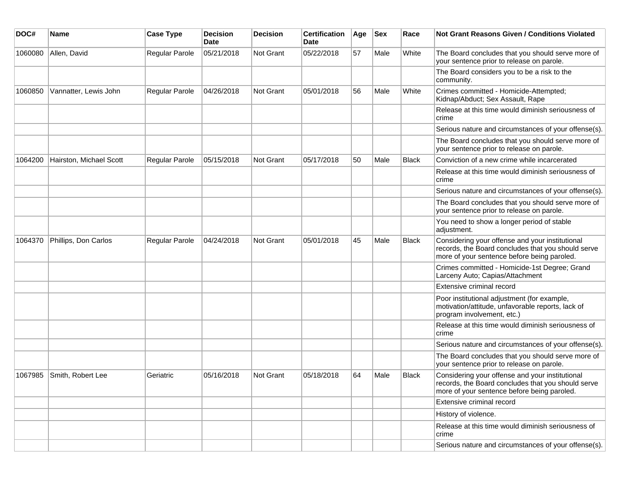| DOC#    | <b>Name</b>             | <b>Case Type</b> | <b>Decision</b><br><b>Date</b> | <b>Decision</b> | <b>Certification</b><br>Date | Age | Sex  | Race         | <b>Not Grant Reasons Given / Conditions Violated</b>                                                                                                 |
|---------|-------------------------|------------------|--------------------------------|-----------------|------------------------------|-----|------|--------------|------------------------------------------------------------------------------------------------------------------------------------------------------|
| 1060080 | Allen, David            | Regular Parole   | 05/21/2018                     | Not Grant       | 05/22/2018                   | 57  | Male | White        | The Board concludes that you should serve more of<br>your sentence prior to release on parole.                                                       |
|         |                         |                  |                                |                 |                              |     |      |              | The Board considers you to be a risk to the<br>community.                                                                                            |
| 1060850 | Vannatter, Lewis John   | Regular Parole   | 04/26/2018                     | Not Grant       | 05/01/2018                   | 56  | Male | White        | Crimes committed - Homicide-Attempted;<br>Kidnap/Abduct; Sex Assault, Rape                                                                           |
|         |                         |                  |                                |                 |                              |     |      |              | Release at this time would diminish seriousness of<br>crime                                                                                          |
|         |                         |                  |                                |                 |                              |     |      |              | Serious nature and circumstances of your offense(s).                                                                                                 |
|         |                         |                  |                                |                 |                              |     |      |              | The Board concludes that you should serve more of<br>your sentence prior to release on parole.                                                       |
| 1064200 | Hairston, Michael Scott | Regular Parole   | 05/15/2018                     | Not Grant       | 05/17/2018                   | 50  | Male | <b>Black</b> | Conviction of a new crime while incarcerated                                                                                                         |
|         |                         |                  |                                |                 |                              |     |      |              | Release at this time would diminish seriousness of<br>crime                                                                                          |
|         |                         |                  |                                |                 |                              |     |      |              | Serious nature and circumstances of your offense(s).                                                                                                 |
|         |                         |                  |                                |                 |                              |     |      |              | The Board concludes that you should serve more of<br>your sentence prior to release on parole.                                                       |
|         |                         |                  |                                |                 |                              |     |      |              | You need to show a longer period of stable<br>adjustment.                                                                                            |
| 1064370 | Phillips, Don Carlos    | Regular Parole   | 04/24/2018                     | Not Grant       | 05/01/2018                   | 45  | Male | <b>Black</b> | Considering your offense and your institutional<br>records, the Board concludes that you should serve<br>more of your sentence before being paroled. |
|         |                         |                  |                                |                 |                              |     |      |              | Crimes committed - Homicide-1st Degree; Grand<br>Larceny Auto; Capias/Attachment                                                                     |
|         |                         |                  |                                |                 |                              |     |      |              | Extensive criminal record                                                                                                                            |
|         |                         |                  |                                |                 |                              |     |      |              | Poor institutional adjustment (for example,<br>motivation/attitude, unfavorable reports, lack of<br>program involvement, etc.)                       |
|         |                         |                  |                                |                 |                              |     |      |              | Release at this time would diminish seriousness of<br>crime                                                                                          |
|         |                         |                  |                                |                 |                              |     |      |              | Serious nature and circumstances of your offense(s).                                                                                                 |
|         |                         |                  |                                |                 |                              |     |      |              | The Board concludes that you should serve more of<br>your sentence prior to release on parole.                                                       |
| 1067985 | Smith, Robert Lee       | Geriatric        | 05/16/2018                     | Not Grant       | 05/18/2018                   | 64  | Male | <b>Black</b> | Considering your offense and your institutional<br>records, the Board concludes that you should serve<br>more of your sentence before being paroled. |
|         |                         |                  |                                |                 |                              |     |      |              | Extensive criminal record                                                                                                                            |
|         |                         |                  |                                |                 |                              |     |      |              | History of violence.                                                                                                                                 |
|         |                         |                  |                                |                 |                              |     |      |              | Release at this time would diminish seriousness of<br>crime                                                                                          |
|         |                         |                  |                                |                 |                              |     |      |              | Serious nature and circumstances of your offense(s).                                                                                                 |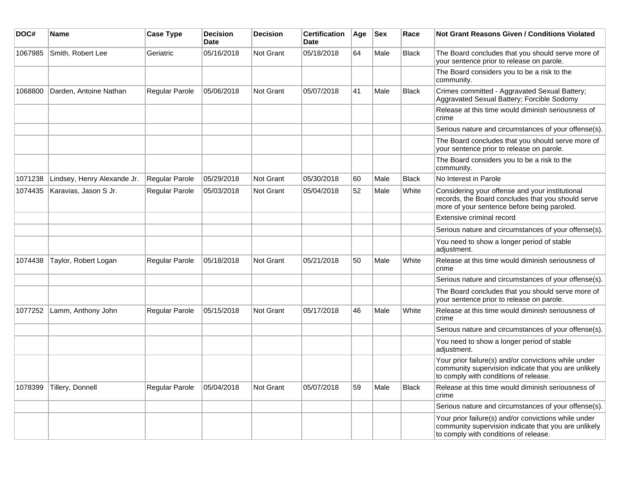| DOC#    | <b>Name</b>                 | <b>Case Type</b> | <b>Decision</b><br><b>Date</b> | <b>Decision</b>  | <b>Certification</b><br><b>Date</b> | Age | <b>Sex</b> | Race         | <b>Not Grant Reasons Given / Conditions Violated</b>                                                                                                  |
|---------|-----------------------------|------------------|--------------------------------|------------------|-------------------------------------|-----|------------|--------------|-------------------------------------------------------------------------------------------------------------------------------------------------------|
| 1067985 | Smith, Robert Lee           | Geriatric        | 05/16/2018                     | <b>Not Grant</b> | 05/18/2018                          | 64  | Male       | <b>Black</b> | The Board concludes that you should serve more of<br>your sentence prior to release on parole.                                                        |
|         |                             |                  |                                |                  |                                     |     |            |              | The Board considers you to be a risk to the<br>community.                                                                                             |
| 1068800 | Darden, Antoine Nathan      | Regular Parole   | 05/06/2018                     | <b>Not Grant</b> | 05/07/2018                          | 41  | Male       | <b>Black</b> | Crimes committed - Aggravated Sexual Battery;<br>Aggravated Sexual Battery; Forcible Sodomy                                                           |
|         |                             |                  |                                |                  |                                     |     |            |              | Release at this time would diminish seriousness of<br>crime                                                                                           |
|         |                             |                  |                                |                  |                                     |     |            |              | Serious nature and circumstances of your offense(s).                                                                                                  |
|         |                             |                  |                                |                  |                                     |     |            |              | The Board concludes that you should serve more of<br>your sentence prior to release on parole.                                                        |
|         |                             |                  |                                |                  |                                     |     |            |              | The Board considers you to be a risk to the<br>community.                                                                                             |
| 1071238 | Lindsey, Henry Alexande Jr. | Regular Parole   | 05/29/2018                     | Not Grant        | 05/30/2018                          | 60  | Male       | <b>Black</b> | No Interest in Parole                                                                                                                                 |
| 1074435 | Karavias, Jason S Jr.       | Regular Parole   | 05/03/2018                     | <b>Not Grant</b> | 05/04/2018                          | 52  | Male       | White        | Considering your offense and your institutional<br>records, the Board concludes that you should serve<br>more of your sentence before being paroled.  |
|         |                             |                  |                                |                  |                                     |     |            |              | Extensive criminal record                                                                                                                             |
|         |                             |                  |                                |                  |                                     |     |            |              | Serious nature and circumstances of your offense(s).                                                                                                  |
|         |                             |                  |                                |                  |                                     |     |            |              | You need to show a longer period of stable<br>adjustment.                                                                                             |
| 1074438 | Taylor, Robert Logan        | Regular Parole   | 05/18/2018                     | <b>Not Grant</b> | 05/21/2018                          | 50  | Male       | White        | Release at this time would diminish seriousness of<br>crime                                                                                           |
|         |                             |                  |                                |                  |                                     |     |            |              | Serious nature and circumstances of your offense(s).                                                                                                  |
|         |                             |                  |                                |                  |                                     |     |            |              | The Board concludes that you should serve more of<br>your sentence prior to release on parole.                                                        |
| 1077252 | Lamm, Anthony John          | Regular Parole   | 05/15/2018                     | <b>Not Grant</b> | 05/17/2018                          | 46  | Male       | White        | Release at this time would diminish seriousness of<br>crime                                                                                           |
|         |                             |                  |                                |                  |                                     |     |            |              | Serious nature and circumstances of your offense(s).                                                                                                  |
|         |                             |                  |                                |                  |                                     |     |            |              | You need to show a longer period of stable<br>adjustment.                                                                                             |
|         |                             |                  |                                |                  |                                     |     |            |              | Your prior failure(s) and/or convictions while under<br>community supervision indicate that you are unlikely<br>to comply with conditions of release. |
| 1078399 | Tillery, Donnell            | Regular Parole   | 05/04/2018                     | <b>Not Grant</b> | 05/07/2018                          | 59  | Male       | Black        | Release at this time would diminish seriousness of<br>crime                                                                                           |
|         |                             |                  |                                |                  |                                     |     |            |              | Serious nature and circumstances of your offense(s).                                                                                                  |
|         |                             |                  |                                |                  |                                     |     |            |              | Your prior failure(s) and/or convictions while under<br>community supervision indicate that you are unlikely<br>to comply with conditions of release. |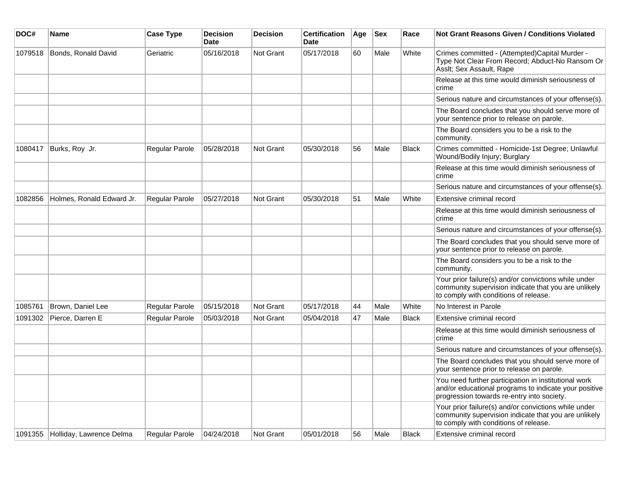| DOC#    | <b>Name</b>                      | <b>Case Type</b> | <b>Decision</b><br><b>Date</b> | <b>Decision</b>  | <b>Certification</b><br><b>Date</b> | Age | <b>Sex</b> | Race         | Not Grant Reasons Given / Conditions Violated                                                                                                               |
|---------|----------------------------------|------------------|--------------------------------|------------------|-------------------------------------|-----|------------|--------------|-------------------------------------------------------------------------------------------------------------------------------------------------------------|
| 1079518 | Bonds, Ronald David              | Geriatric        | 05/16/2018                     | Not Grant        | 05/17/2018                          | 60  | Male       | White        | Crimes committed - (Attempted)Capital Murder -<br>Type Not Clear From Record; Abduct-No Ransom Or<br>Asslt; Sex Assault, Rape                               |
|         |                                  |                  |                                |                  |                                     |     |            |              | Release at this time would diminish seriousness of<br>crime                                                                                                 |
|         |                                  |                  |                                |                  |                                     |     |            |              | Serious nature and circumstances of your offense(s).                                                                                                        |
|         |                                  |                  |                                |                  |                                     |     |            |              | The Board concludes that you should serve more of<br>your sentence prior to release on parole.                                                              |
|         |                                  |                  |                                |                  |                                     |     |            |              | The Board considers you to be a risk to the<br>community.                                                                                                   |
| 1080417 | Burks, Roy Jr.                   | Regular Parole   | 05/28/2018                     | <b>Not Grant</b> | 05/30/2018                          | 56  | Male       | <b>Black</b> | Crimes committed - Homicide-1st Degree; Unlawful<br>Wound/Bodily Injury; Burglary                                                                           |
|         |                                  |                  |                                |                  |                                     |     |            |              | Release at this time would diminish seriousness of<br>crime                                                                                                 |
|         |                                  |                  |                                |                  |                                     |     |            |              | Serious nature and circumstances of your offense(s).                                                                                                        |
| 1082856 | Holmes, Ronald Edward Jr.        | Regular Parole   | 05/27/2018                     | <b>Not Grant</b> | 05/30/2018                          | 51  | Male       | White        | Extensive criminal record                                                                                                                                   |
|         |                                  |                  |                                |                  |                                     |     |            |              | Release at this time would diminish seriousness of<br>crime                                                                                                 |
|         |                                  |                  |                                |                  |                                     |     |            |              | Serious nature and circumstances of your offense(s).                                                                                                        |
|         |                                  |                  |                                |                  |                                     |     |            |              | The Board concludes that you should serve more of<br>your sentence prior to release on parole.                                                              |
|         |                                  |                  |                                |                  |                                     |     |            |              | The Board considers you to be a risk to the<br>community.                                                                                                   |
|         |                                  |                  |                                |                  |                                     |     |            |              | Your prior failure(s) and/or convictions while under<br>community supervision indicate that you are unlikely<br>to comply with conditions of release.       |
| 1085761 | Brown, Daniel Lee                | Regular Parole   | 05/15/2018                     | <b>Not Grant</b> | 05/17/2018                          | 44  | Male       | White        | No Interest in Parole                                                                                                                                       |
| 1091302 | Pierce, Darren E                 | Regular Parole   | 05/03/2018                     | <b>Not Grant</b> | 05/04/2018                          | 47  | Male       | <b>Black</b> | Extensive criminal record                                                                                                                                   |
|         |                                  |                  |                                |                  |                                     |     |            |              | Release at this time would diminish seriousness of<br>crime                                                                                                 |
|         |                                  |                  |                                |                  |                                     |     |            |              | Serious nature and circumstances of your offense(s).                                                                                                        |
|         |                                  |                  |                                |                  |                                     |     |            |              | The Board concludes that you should serve more of<br>your sentence prior to release on parole.                                                              |
|         |                                  |                  |                                |                  |                                     |     |            |              | You need further participation in institutional work<br>and/or educational programs to indicate your positive<br>progression towards re-entry into society. |
|         |                                  |                  |                                |                  |                                     |     |            |              | Your prior failure(s) and/or convictions while under<br>community supervision indicate that you are unlikely<br>to comply with conditions of release.       |
|         | 1091355 Holliday, Lawrence Delma | Regular Parole   | 04/24/2018                     | <b>Not Grant</b> | 05/01/2018                          | 56  | Male       | <b>Black</b> | Extensive criminal record                                                                                                                                   |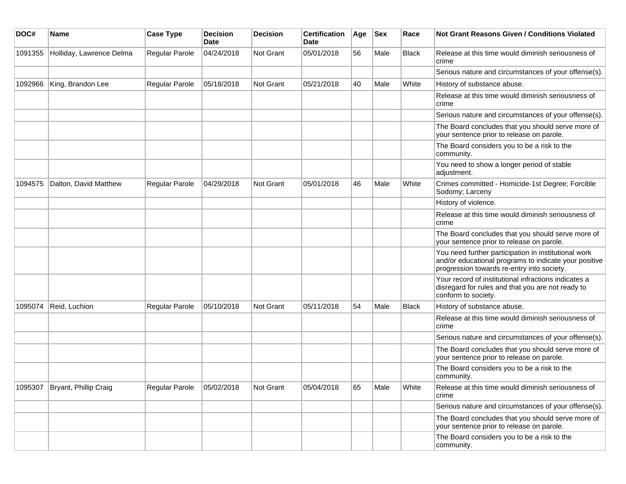| DOC#    | Name                          | <b>Case Type</b>      | <b>Decision</b><br><b>Date</b> | <b>Decision</b> | <b>Certification</b><br><b>Date</b> | Age | Sex  | Race  | Not Grant Reasons Given / Conditions Violated                                                                                                               |
|---------|-------------------------------|-----------------------|--------------------------------|-----------------|-------------------------------------|-----|------|-------|-------------------------------------------------------------------------------------------------------------------------------------------------------------|
| 1091355 | Holliday, Lawrence Delma      | Regular Parole        | 04/24/2018                     | Not Grant       | 05/01/2018                          | 56  | Male | Black | Release at this time would diminish seriousness of<br>crime                                                                                                 |
|         |                               |                       |                                |                 |                                     |     |      |       | Serious nature and circumstances of your offense(s).                                                                                                        |
| 1092966 | King, Brandon Lee             | Regular Parole        | 05/18/2018                     | Not Grant       | 05/21/2018                          | 40  | Male | White | History of substance abuse.                                                                                                                                 |
|         |                               |                       |                                |                 |                                     |     |      |       | Release at this time would diminish seriousness of<br>crime                                                                                                 |
|         |                               |                       |                                |                 |                                     |     |      |       | Serious nature and circumstances of your offense(s).                                                                                                        |
|         |                               |                       |                                |                 |                                     |     |      |       | The Board concludes that you should serve more of<br>your sentence prior to release on parole.                                                              |
|         |                               |                       |                                |                 |                                     |     |      |       | The Board considers you to be a risk to the<br>community.                                                                                                   |
|         |                               |                       |                                |                 |                                     |     |      |       | You need to show a longer period of stable<br>adjustment.                                                                                                   |
| 1094575 | Dalton, David Matthew         | Regular Parole        | 04/29/2018                     | Not Grant       | 05/01/2018                          | 46  | Male | White | Crimes committed - Homicide-1st Degree; Forcible<br>Sodomy; Larceny                                                                                         |
|         |                               |                       |                                |                 |                                     |     |      |       | History of violence.                                                                                                                                        |
|         |                               |                       |                                |                 |                                     |     |      |       | Release at this time would diminish seriousness of<br>crime                                                                                                 |
|         |                               |                       |                                |                 |                                     |     |      |       | The Board concludes that you should serve more of<br>your sentence prior to release on parole.                                                              |
|         |                               |                       |                                |                 |                                     |     |      |       | You need further participation in institutional work<br>and/or educational programs to indicate your positive<br>progression towards re-entry into society. |
|         |                               |                       |                                |                 |                                     |     |      |       | Your record of institutional infractions indicates a<br>disregard for rules and that you are not ready to<br>conform to society.                            |
| 1095074 | Reid, Luchion                 | <b>Regular Parole</b> | 05/10/2018                     | Not Grant       | 05/11/2018                          | 54  | Male | Black | History of substance abuse.                                                                                                                                 |
|         |                               |                       |                                |                 |                                     |     |      |       | Release at this time would diminish seriousness of<br>crime                                                                                                 |
|         |                               |                       |                                |                 |                                     |     |      |       | Serious nature and circumstances of your offense(s).                                                                                                        |
|         |                               |                       |                                |                 |                                     |     |      |       | The Board concludes that you should serve more of<br>your sentence prior to release on parole.                                                              |
|         |                               |                       |                                |                 |                                     |     |      |       | The Board considers you to be a risk to the<br>community.                                                                                                   |
|         | 1095307 Bryant, Phillip Craig | Regular Parole        | 05/02/2018                     | Not Grant       | 05/04/2018                          | 65  | Male | White | Release at this time would diminish seriousness of<br>crime                                                                                                 |
|         |                               |                       |                                |                 |                                     |     |      |       | Serious nature and circumstances of your offense(s).                                                                                                        |
|         |                               |                       |                                |                 |                                     |     |      |       | The Board concludes that you should serve more of<br>your sentence prior to release on parole.                                                              |
|         |                               |                       |                                |                 |                                     |     |      |       | The Board considers you to be a risk to the<br>community.                                                                                                   |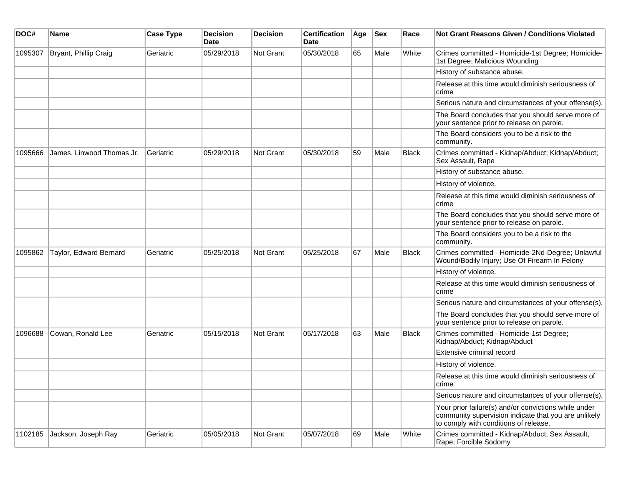| DOC#    | Name                      | <b>Case Type</b> | <b>Decision</b><br><b>Date</b> | <b>Decision</b>  | <b>Certification</b><br>Date | Age | <b>Sex</b> | Race         | <b>Not Grant Reasons Given / Conditions Violated</b>                                                                                                  |
|---------|---------------------------|------------------|--------------------------------|------------------|------------------------------|-----|------------|--------------|-------------------------------------------------------------------------------------------------------------------------------------------------------|
| 1095307 | Bryant, Phillip Craig     | Geriatric        | 05/29/2018                     | Not Grant        | 05/30/2018                   | 65  | Male       | White        | Crimes committed - Homicide-1st Degree; Homicide-<br>1st Degree; Malicious Wounding                                                                   |
|         |                           |                  |                                |                  |                              |     |            |              | History of substance abuse.                                                                                                                           |
|         |                           |                  |                                |                  |                              |     |            |              | Release at this time would diminish seriousness of<br>crime                                                                                           |
|         |                           |                  |                                |                  |                              |     |            |              | Serious nature and circumstances of your offense(s).                                                                                                  |
|         |                           |                  |                                |                  |                              |     |            |              | The Board concludes that you should serve more of<br>your sentence prior to release on parole.                                                        |
|         |                           |                  |                                |                  |                              |     |            |              | The Board considers you to be a risk to the<br>community.                                                                                             |
| 1095666 | James, Linwood Thomas Jr. | Geriatric        | 05/29/2018                     | <b>Not Grant</b> | 05/30/2018                   | 59  | Male       | <b>Black</b> | Crimes committed - Kidnap/Abduct; Kidnap/Abduct;<br>Sex Assault, Rape                                                                                 |
|         |                           |                  |                                |                  |                              |     |            |              | History of substance abuse.                                                                                                                           |
|         |                           |                  |                                |                  |                              |     |            |              | History of violence.                                                                                                                                  |
|         |                           |                  |                                |                  |                              |     |            |              | Release at this time would diminish seriousness of<br>crime                                                                                           |
|         |                           |                  |                                |                  |                              |     |            |              | The Board concludes that you should serve more of<br>your sentence prior to release on parole.                                                        |
|         |                           |                  |                                |                  |                              |     |            |              | The Board considers you to be a risk to the<br>community.                                                                                             |
| 1095862 | Taylor, Edward Bernard    | Geriatric        | 05/25/2018                     | Not Grant        | 05/25/2018                   | 67  | Male       | <b>Black</b> | Crimes committed - Homicide-2Nd-Degree; Unlawful<br>Wound/Bodily Injury; Use Of Firearm In Felony                                                     |
|         |                           |                  |                                |                  |                              |     |            |              | History of violence.                                                                                                                                  |
|         |                           |                  |                                |                  |                              |     |            |              | Release at this time would diminish seriousness of<br>crime                                                                                           |
|         |                           |                  |                                |                  |                              |     |            |              | Serious nature and circumstances of your offense(s).                                                                                                  |
|         |                           |                  |                                |                  |                              |     |            |              | The Board concludes that you should serve more of<br>your sentence prior to release on parole.                                                        |
| 1096688 | Cowan, Ronald Lee         | Geriatric        | 05/15/2018                     | Not Grant        | 05/17/2018                   | 63  | Male       | <b>Black</b> | Crimes committed - Homicide-1st Degree;<br>Kidnap/Abduct; Kidnap/Abduct                                                                               |
|         |                           |                  |                                |                  |                              |     |            |              | Extensive criminal record                                                                                                                             |
|         |                           |                  |                                |                  |                              |     |            |              | History of violence.                                                                                                                                  |
|         |                           |                  |                                |                  |                              |     |            |              | Release at this time would diminish seriousness of<br>crime                                                                                           |
|         |                           |                  |                                |                  |                              |     |            |              | Serious nature and circumstances of your offense(s).                                                                                                  |
|         |                           |                  |                                |                  |                              |     |            |              | Your prior failure(s) and/or convictions while under<br>community supervision indicate that you are unlikely<br>to comply with conditions of release. |
| 1102185 | Jackson, Joseph Ray       | Geriatric        | 05/05/2018                     | Not Grant        | 05/07/2018                   | 69  | Male       | White        | Crimes committed - Kidnap/Abduct; Sex Assault,<br>Rape; Forcible Sodomy                                                                               |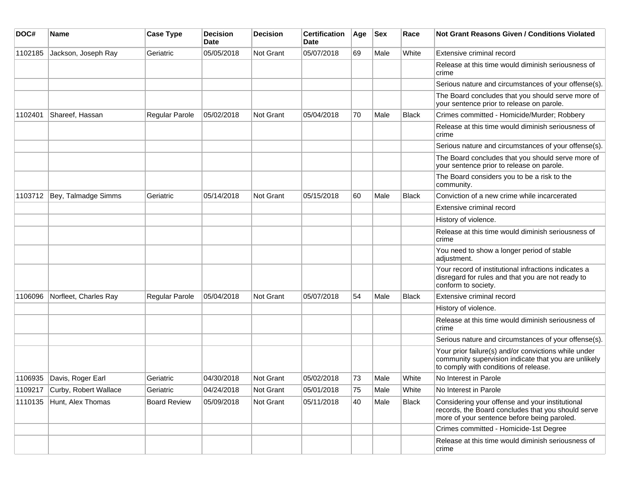| DOC#    | Name                  | <b>Case Type</b>      | <b>Decision</b><br>Date | <b>Decision</b>  | <b>Certification</b><br>Date | Age | <b>Sex</b> | Race         | Not Grant Reasons Given / Conditions Violated                                                                                                         |
|---------|-----------------------|-----------------------|-------------------------|------------------|------------------------------|-----|------------|--------------|-------------------------------------------------------------------------------------------------------------------------------------------------------|
| 1102185 | Jackson, Joseph Ray   | Geriatric             | 05/05/2018              | Not Grant        | 05/07/2018                   | 69  | Male       | White        | Extensive criminal record                                                                                                                             |
|         |                       |                       |                         |                  |                              |     |            |              | Release at this time would diminish seriousness of<br>crime                                                                                           |
|         |                       |                       |                         |                  |                              |     |            |              | Serious nature and circumstances of your offense(s).                                                                                                  |
|         |                       |                       |                         |                  |                              |     |            |              | The Board concludes that you should serve more of<br>your sentence prior to release on parole.                                                        |
| 1102401 | Shareef, Hassan       | <b>Regular Parole</b> | 05/02/2018              | Not Grant        | 05/04/2018                   | 70  | Male       | <b>Black</b> | Crimes committed - Homicide/Murder; Robbery                                                                                                           |
|         |                       |                       |                         |                  |                              |     |            |              | Release at this time would diminish seriousness of<br>crime                                                                                           |
|         |                       |                       |                         |                  |                              |     |            |              | Serious nature and circumstances of your offense(s).                                                                                                  |
|         |                       |                       |                         |                  |                              |     |            |              | The Board concludes that you should serve more of<br>your sentence prior to release on parole.                                                        |
|         |                       |                       |                         |                  |                              |     |            |              | The Board considers you to be a risk to the<br>community.                                                                                             |
| 1103712 | Bey, Talmadge Simms   | Geriatric             | 05/14/2018              | Not Grant        | 05/15/2018                   | 60  | Male       | <b>Black</b> | Conviction of a new crime while incarcerated                                                                                                          |
|         |                       |                       |                         |                  |                              |     |            |              | Extensive criminal record                                                                                                                             |
|         |                       |                       |                         |                  |                              |     |            |              | History of violence.                                                                                                                                  |
|         |                       |                       |                         |                  |                              |     |            |              | Release at this time would diminish seriousness of<br>crime                                                                                           |
|         |                       |                       |                         |                  |                              |     |            |              | You need to show a longer period of stable<br>adjustment.                                                                                             |
|         |                       |                       |                         |                  |                              |     |            |              | Your record of institutional infractions indicates a<br>disregard for rules and that you are not ready to<br>conform to society.                      |
| 1106096 | Norfleet, Charles Ray | <b>Regular Parole</b> | 05/04/2018              | Not Grant        | 05/07/2018                   | 54  | Male       | <b>Black</b> | Extensive criminal record                                                                                                                             |
|         |                       |                       |                         |                  |                              |     |            |              | History of violence.                                                                                                                                  |
|         |                       |                       |                         |                  |                              |     |            |              | Release at this time would diminish seriousness of<br>crime                                                                                           |
|         |                       |                       |                         |                  |                              |     |            |              | Serious nature and circumstances of your offense(s).                                                                                                  |
|         |                       |                       |                         |                  |                              |     |            |              | Your prior failure(s) and/or convictions while under<br>community supervision indicate that you are unlikely<br>to comply with conditions of release. |
| 1106935 | Davis, Roger Earl     | Geriatric             | 04/30/2018              | <b>Not Grant</b> | 05/02/2018                   | 73  | Male       | White        | No Interest in Parole                                                                                                                                 |
| 1109217 | Curby, Robert Wallace | Geriatric             | 04/24/2018              | Not Grant        | 05/01/2018                   | 75  | Male       | White        | No Interest in Parole                                                                                                                                 |
| 1110135 | Hunt, Alex Thomas     | <b>Board Review</b>   | 05/09/2018              | Not Grant        | 05/11/2018                   | 40  | Male       | Black        | Considering your offense and your institutional<br>records, the Board concludes that you should serve<br>more of your sentence before being paroled.  |
|         |                       |                       |                         |                  |                              |     |            |              | Crimes committed - Homicide-1st Degree                                                                                                                |
|         |                       |                       |                         |                  |                              |     |            |              | Release at this time would diminish seriousness of<br>crime                                                                                           |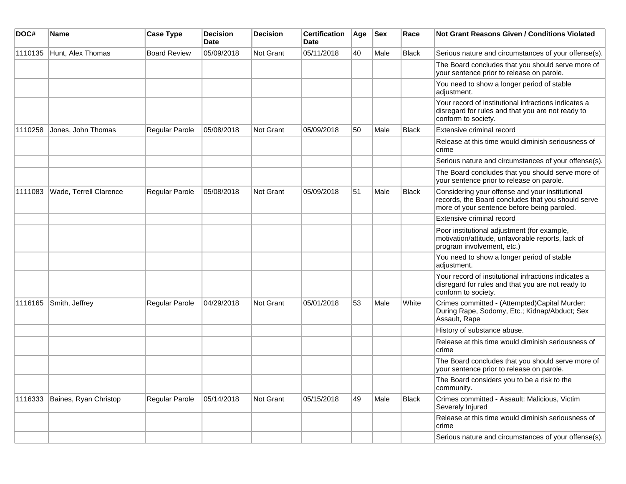| DOC#    | <b>Name</b>            | <b>Case Type</b>      | <b>Decision</b><br>Date | <b>Decision</b> | <b>Certification</b><br>Date | Age | $ $ Sex | Race         | Not Grant Reasons Given / Conditions Violated                                                                                                        |
|---------|------------------------|-----------------------|-------------------------|-----------------|------------------------------|-----|---------|--------------|------------------------------------------------------------------------------------------------------------------------------------------------------|
| 1110135 | Hunt, Alex Thomas      | <b>Board Review</b>   | 05/09/2018              | Not Grant       | 05/11/2018                   | 40  | Male    | <b>Black</b> | Serious nature and circumstances of your offense(s).                                                                                                 |
|         |                        |                       |                         |                 |                              |     |         |              | The Board concludes that you should serve more of<br>your sentence prior to release on parole.                                                       |
|         |                        |                       |                         |                 |                              |     |         |              | You need to show a longer period of stable<br>adjustment.                                                                                            |
|         |                        |                       |                         |                 |                              |     |         |              | Your record of institutional infractions indicates a<br>disregard for rules and that you are not ready to<br>conform to society.                     |
| 1110258 | Jones, John Thomas     | Regular Parole        | 05/08/2018              | Not Grant       | 05/09/2018                   | 50  | Male    | <b>Black</b> | Extensive criminal record                                                                                                                            |
|         |                        |                       |                         |                 |                              |     |         |              | Release at this time would diminish seriousness of<br>crime                                                                                          |
|         |                        |                       |                         |                 |                              |     |         |              | Serious nature and circumstances of your offense(s).                                                                                                 |
|         |                        |                       |                         |                 |                              |     |         |              | The Board concludes that you should serve more of<br>your sentence prior to release on parole.                                                       |
| 1111083 | Wade, Terrell Clarence | <b>Regular Parole</b> | 05/08/2018              | Not Grant       | 05/09/2018                   | 51  | Male    | <b>Black</b> | Considering your offense and your institutional<br>records, the Board concludes that you should serve<br>more of your sentence before being paroled. |
|         |                        |                       |                         |                 |                              |     |         |              | Extensive criminal record                                                                                                                            |
|         |                        |                       |                         |                 |                              |     |         |              | Poor institutional adjustment (for example,<br>motivation/attitude, unfavorable reports, lack of<br>program involvement, etc.)                       |
|         |                        |                       |                         |                 |                              |     |         |              | You need to show a longer period of stable<br>adjustment.                                                                                            |
|         |                        |                       |                         |                 |                              |     |         |              | Your record of institutional infractions indicates a<br>disregard for rules and that you are not ready to<br>conform to society.                     |
| 1116165 | Smith, Jeffrey         | Regular Parole        | 04/29/2018              | Not Grant       | 05/01/2018                   | 53  | Male    | White        | Crimes committed - (Attempted)Capital Murder:<br>During Rape, Sodomy, Etc.; Kidnap/Abduct; Sex<br>Assault, Rape                                      |
|         |                        |                       |                         |                 |                              |     |         |              | History of substance abuse.                                                                                                                          |
|         |                        |                       |                         |                 |                              |     |         |              | Release at this time would diminish seriousness of<br>crime                                                                                          |
|         |                        |                       |                         |                 |                              |     |         |              | The Board concludes that you should serve more of<br>your sentence prior to release on parole.                                                       |
|         |                        |                       |                         |                 |                              |     |         |              | The Board considers you to be a risk to the<br>community.                                                                                            |
| 1116333 | Baines, Ryan Christop  | Regular Parole        | 05/14/2018              | Not Grant       | 05/15/2018                   | 49  | Male    | <b>Black</b> | Crimes committed - Assault: Malicious, Victim<br>Severely Injured                                                                                    |
|         |                        |                       |                         |                 |                              |     |         |              | Release at this time would diminish seriousness of<br>crime                                                                                          |
|         |                        |                       |                         |                 |                              |     |         |              | Serious nature and circumstances of your offense(s).                                                                                                 |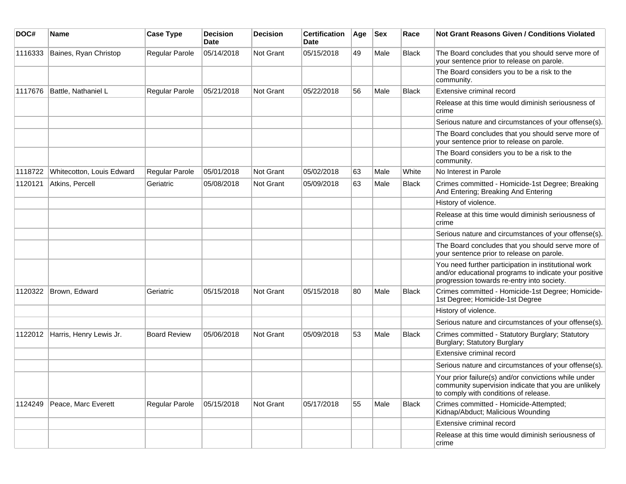| DOC#    | Name                      | <b>Case Type</b>    | <b>Decision</b><br><b>Date</b> | <b>Decision</b> | <b>Certification</b><br>Date | Age | <b>Sex</b> | Race         | <b>Not Grant Reasons Given / Conditions Violated</b>                                                                                                        |
|---------|---------------------------|---------------------|--------------------------------|-----------------|------------------------------|-----|------------|--------------|-------------------------------------------------------------------------------------------------------------------------------------------------------------|
| 1116333 | Baines, Ryan Christop     | Regular Parole      | 05/14/2018                     | Not Grant       | 05/15/2018                   | 49  | Male       | <b>Black</b> | The Board concludes that you should serve more of<br>your sentence prior to release on parole.                                                              |
|         |                           |                     |                                |                 |                              |     |            |              | The Board considers you to be a risk to the<br>community.                                                                                                   |
| 1117676 | Battle, Nathaniel L       | Regular Parole      | 05/21/2018                     | Not Grant       | 05/22/2018                   | 56  | Male       | Black        | Extensive criminal record                                                                                                                                   |
|         |                           |                     |                                |                 |                              |     |            |              | Release at this time would diminish seriousness of<br>crime                                                                                                 |
|         |                           |                     |                                |                 |                              |     |            |              | Serious nature and circumstances of your offense(s).                                                                                                        |
|         |                           |                     |                                |                 |                              |     |            |              | The Board concludes that you should serve more of<br>your sentence prior to release on parole.                                                              |
|         |                           |                     |                                |                 |                              |     |            |              | The Board considers you to be a risk to the<br>community.                                                                                                   |
| 1118722 | Whitecotton, Louis Edward | Regular Parole      | 05/01/2018                     | Not Grant       | 05/02/2018                   | 63  | Male       | White        | No Interest in Parole                                                                                                                                       |
| 1120121 | Atkins, Percell           | Geriatric           | 05/08/2018                     | Not Grant       | 05/09/2018                   | 63  | Male       | Black        | Crimes committed - Homicide-1st Degree; Breaking<br>And Entering; Breaking And Entering                                                                     |
|         |                           |                     |                                |                 |                              |     |            |              | History of violence.                                                                                                                                        |
|         |                           |                     |                                |                 |                              |     |            |              | Release at this time would diminish seriousness of<br>crime                                                                                                 |
|         |                           |                     |                                |                 |                              |     |            |              | Serious nature and circumstances of your offense(s).                                                                                                        |
|         |                           |                     |                                |                 |                              |     |            |              | The Board concludes that you should serve more of<br>your sentence prior to release on parole.                                                              |
|         |                           |                     |                                |                 |                              |     |            |              | You need further participation in institutional work<br>and/or educational programs to indicate your positive<br>progression towards re-entry into society. |
| 1120322 | Brown, Edward             | Geriatric           | 05/15/2018                     | Not Grant       | 05/15/2018                   | 80  | Male       | <b>Black</b> | Crimes committed - Homicide-1st Degree; Homicide-<br>1st Degree; Homicide-1st Degree                                                                        |
|         |                           |                     |                                |                 |                              |     |            |              | History of violence.                                                                                                                                        |
|         |                           |                     |                                |                 |                              |     |            |              | Serious nature and circumstances of your offense(s).                                                                                                        |
| 1122012 | Harris, Henry Lewis Jr.   | <b>Board Review</b> | 05/06/2018                     | Not Grant       | 05/09/2018                   | 53  | Male       | <b>Black</b> | Crimes committed - Statutory Burglary; Statutory<br>Burglary; Statutory Burglary                                                                            |
|         |                           |                     |                                |                 |                              |     |            |              | Extensive criminal record                                                                                                                                   |
|         |                           |                     |                                |                 |                              |     |            |              | Serious nature and circumstances of your offense(s).                                                                                                        |
|         |                           |                     |                                |                 |                              |     |            |              | Your prior failure(s) and/or convictions while under<br>community supervision indicate that you are unlikely<br>to comply with conditions of release.       |
| 1124249 | Peace, Marc Everett       | Regular Parole      | 05/15/2018                     | Not Grant       | 05/17/2018                   | 55  | Male       | <b>Black</b> | Crimes committed - Homicide-Attempted;<br>Kidnap/Abduct; Malicious Wounding                                                                                 |
|         |                           |                     |                                |                 |                              |     |            |              | <b>Extensive criminal record</b>                                                                                                                            |
|         |                           |                     |                                |                 |                              |     |            |              | Release at this time would diminish seriousness of<br>crime                                                                                                 |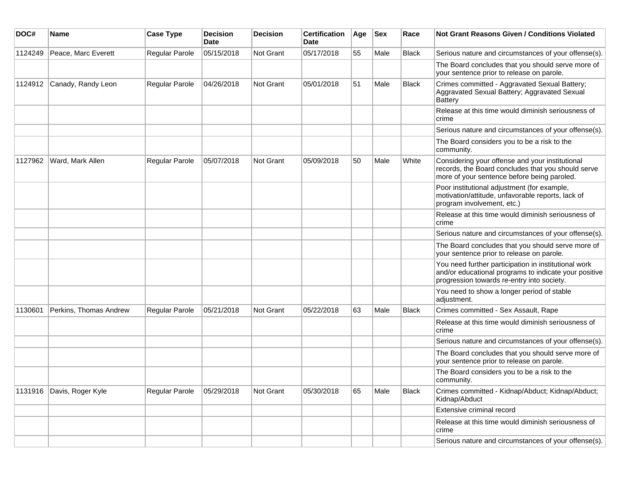| DOC#    | Name                   | <b>Case Type</b> | <b>Decision</b><br><b>Date</b> | <b>Decision</b> | <b>Certification</b><br>Date | Age | <b>Sex</b> | Race         | Not Grant Reasons Given / Conditions Violated                                                                                                               |
|---------|------------------------|------------------|--------------------------------|-----------------|------------------------------|-----|------------|--------------|-------------------------------------------------------------------------------------------------------------------------------------------------------------|
| 1124249 | Peace, Marc Everett    | Regular Parole   | 05/15/2018                     | Not Grant       | 05/17/2018                   | 55  | Male       | <b>Black</b> | Serious nature and circumstances of your offense(s).                                                                                                        |
|         |                        |                  |                                |                 |                              |     |            |              | The Board concludes that you should serve more of<br>your sentence prior to release on parole.                                                              |
| 1124912 | Canady, Randy Leon     | Regular Parole   | 04/26/2018                     | Not Grant       | 05/01/2018                   | 51  | Male       | <b>Black</b> | Crimes committed - Aggravated Sexual Battery;<br>Aggravated Sexual Battery; Aggravated Sexual<br><b>Battery</b>                                             |
|         |                        |                  |                                |                 |                              |     |            |              | Release at this time would diminish seriousness of<br>crime                                                                                                 |
|         |                        |                  |                                |                 |                              |     |            |              | Serious nature and circumstances of your offense(s).                                                                                                        |
|         |                        |                  |                                |                 |                              |     |            |              | The Board considers you to be a risk to the<br>community.                                                                                                   |
| 1127962 | Ward, Mark Allen       | Regular Parole   | 05/07/2018                     | Not Grant       | 05/09/2018                   | 50  | Male       | White        | Considering your offense and your institutional<br>records, the Board concludes that you should serve<br>more of your sentence before being paroled.        |
|         |                        |                  |                                |                 |                              |     |            |              | Poor institutional adjustment (for example,<br>motivation/attitude, unfavorable reports, lack of<br>program involvement, etc.)                              |
|         |                        |                  |                                |                 |                              |     |            |              | Release at this time would diminish seriousness of<br>crime                                                                                                 |
|         |                        |                  |                                |                 |                              |     |            |              | Serious nature and circumstances of your offense(s).                                                                                                        |
|         |                        |                  |                                |                 |                              |     |            |              | The Board concludes that you should serve more of<br>your sentence prior to release on parole.                                                              |
|         |                        |                  |                                |                 |                              |     |            |              | You need further participation in institutional work<br>and/or educational programs to indicate your positive<br>progression towards re-entry into society. |
|         |                        |                  |                                |                 |                              |     |            |              | You need to show a longer period of stable<br>adjustment.                                                                                                   |
| 1130601 | Perkins, Thomas Andrew | Regular Parole   | 05/21/2018                     | Not Grant       | 05/22/2018                   | 63  | Male       | <b>Black</b> | Crimes committed - Sex Assault, Rape                                                                                                                        |
|         |                        |                  |                                |                 |                              |     |            |              | Release at this time would diminish seriousness of<br>crime                                                                                                 |
|         |                        |                  |                                |                 |                              |     |            |              | Serious nature and circumstances of your offense(s).                                                                                                        |
|         |                        |                  |                                |                 |                              |     |            |              | The Board concludes that you should serve more of<br>your sentence prior to release on parole.                                                              |
|         |                        |                  |                                |                 |                              |     |            |              | The Board considers you to be a risk to the<br>community.                                                                                                   |
| 1131916 | Davis, Roger Kyle      | Regular Parole   | 05/29/2018                     | Not Grant       | 05/30/2018                   | 65  | Male       | <b>Black</b> | Crimes committed - Kidnap/Abduct; Kidnap/Abduct;<br>Kidnap/Abduct                                                                                           |
|         |                        |                  |                                |                 |                              |     |            |              | Extensive criminal record                                                                                                                                   |
|         |                        |                  |                                |                 |                              |     |            |              | Release at this time would diminish seriousness of<br>crime                                                                                                 |
|         |                        |                  |                                |                 |                              |     |            |              | Serious nature and circumstances of your offense(s).                                                                                                        |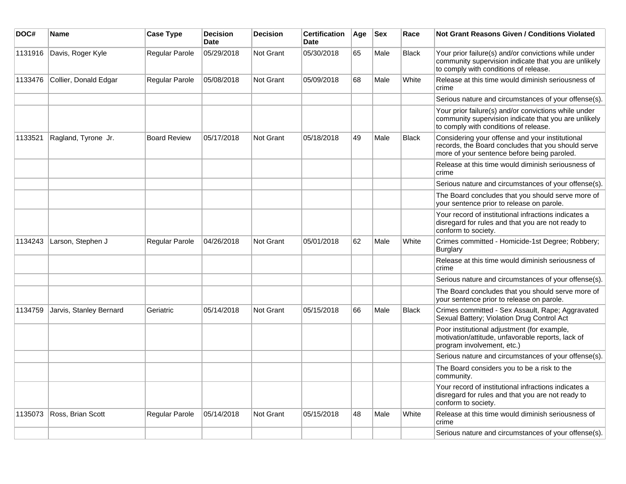| DOC#    | <b>Name</b>             | <b>Case Type</b>    | <b>Decision</b><br><b>Date</b> | <b>Decision</b>  | <b>Certification</b><br><b>Date</b> | Age | <b>Sex</b> | Race         | Not Grant Reasons Given / Conditions Violated                                                                                                         |
|---------|-------------------------|---------------------|--------------------------------|------------------|-------------------------------------|-----|------------|--------------|-------------------------------------------------------------------------------------------------------------------------------------------------------|
| 1131916 | Davis, Roger Kyle       | Regular Parole      | 05/29/2018                     | Not Grant        | 05/30/2018                          | 65  | Male       | <b>Black</b> | Your prior failure(s) and/or convictions while under<br>community supervision indicate that you are unlikely<br>to comply with conditions of release. |
| 1133476 | Collier, Donald Edgar   | Regular Parole      | 05/08/2018                     | Not Grant        | 05/09/2018                          | 68  | Male       | White        | Release at this time would diminish seriousness of<br>crime                                                                                           |
|         |                         |                     |                                |                  |                                     |     |            |              | Serious nature and circumstances of your offense(s).                                                                                                  |
|         |                         |                     |                                |                  |                                     |     |            |              | Your prior failure(s) and/or convictions while under<br>community supervision indicate that you are unlikely<br>to comply with conditions of release. |
| 1133521 | Ragland, Tyrone Jr.     | <b>Board Review</b> | 05/17/2018                     | Not Grant        | 05/18/2018                          | 49  | Male       | <b>Black</b> | Considering your offense and your institutional<br>records, the Board concludes that you should serve<br>more of your sentence before being paroled.  |
|         |                         |                     |                                |                  |                                     |     |            |              | Release at this time would diminish seriousness of<br>crime                                                                                           |
|         |                         |                     |                                |                  |                                     |     |            |              | Serious nature and circumstances of your offense(s).                                                                                                  |
|         |                         |                     |                                |                  |                                     |     |            |              | The Board concludes that you should serve more of<br>your sentence prior to release on parole.                                                        |
|         |                         |                     |                                |                  |                                     |     |            |              | Your record of institutional infractions indicates a<br>disregard for rules and that you are not ready to<br>conform to society.                      |
| 1134243 | Larson, Stephen J       | Regular Parole      | 04/26/2018                     | Not Grant        | 05/01/2018                          | 62  | Male       | White        | Crimes committed - Homicide-1st Degree; Robbery;<br><b>Burglary</b>                                                                                   |
|         |                         |                     |                                |                  |                                     |     |            |              | Release at this time would diminish seriousness of<br>crime                                                                                           |
|         |                         |                     |                                |                  |                                     |     |            |              | Serious nature and circumstances of your offense(s).                                                                                                  |
|         |                         |                     |                                |                  |                                     |     |            |              | The Board concludes that you should serve more of<br>your sentence prior to release on parole.                                                        |
| 1134759 | Jarvis, Stanley Bernard | Geriatric           | 05/14/2018                     | Not Grant        | 05/15/2018                          | 66  | Male       | <b>Black</b> | Crimes committed - Sex Assault, Rape; Aggravated<br>Sexual Battery; Violation Drug Control Act                                                        |
|         |                         |                     |                                |                  |                                     |     |            |              | Poor institutional adjustment (for example,<br>motivation/attitude, unfavorable reports, lack of<br>program involvement, etc.)                        |
|         |                         |                     |                                |                  |                                     |     |            |              | Serious nature and circumstances of your offense(s).                                                                                                  |
|         |                         |                     |                                |                  |                                     |     |            |              | The Board considers you to be a risk to the<br>community.                                                                                             |
|         |                         |                     |                                |                  |                                     |     |            |              | Your record of institutional infractions indicates a<br>disregard for rules and that you are not ready to<br>conform to society.                      |
| 1135073 | Ross, Brian Scott       | Regular Parole      | 05/14/2018                     | <b>Not Grant</b> | 05/15/2018                          | 48  | Male       | White        | Release at this time would diminish seriousness of<br>crime                                                                                           |
|         |                         |                     |                                |                  |                                     |     |            |              | Serious nature and circumstances of your offense(s).                                                                                                  |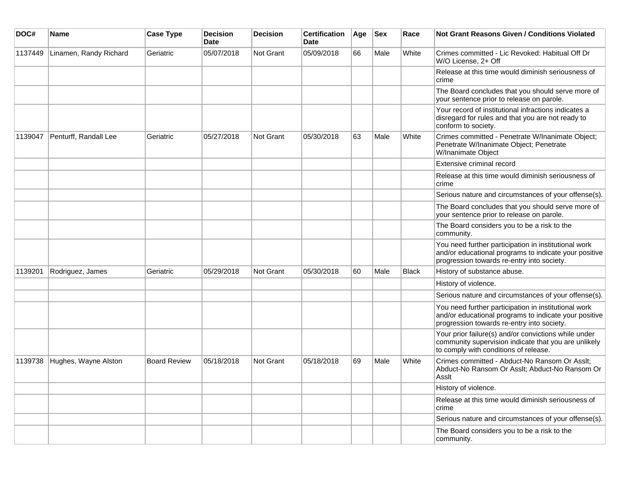| DOC#    | <b>Name</b>            | <b>Case Type</b>    | <b>Decision</b><br><b>Date</b> | <b>Decision</b> | <b>Certification</b><br>Date | Age | <b>Sex</b> | Race         | <b>Not Grant Reasons Given / Conditions Violated</b>                                                                                                        |
|---------|------------------------|---------------------|--------------------------------|-----------------|------------------------------|-----|------------|--------------|-------------------------------------------------------------------------------------------------------------------------------------------------------------|
| 1137449 | Linamen, Randy Richard | Geriatric           | 05/07/2018                     | Not Grant       | 05/09/2018                   | 66  | Male       | White        | Crimes committed - Lic Revoked: Habitual Off Dr<br>W/O License, 2+ Off                                                                                      |
|         |                        |                     |                                |                 |                              |     |            |              | Release at this time would diminish seriousness of<br>crime                                                                                                 |
|         |                        |                     |                                |                 |                              |     |            |              | The Board concludes that you should serve more of<br>your sentence prior to release on parole.                                                              |
|         |                        |                     |                                |                 |                              |     |            |              | Your record of institutional infractions indicates a<br>disregard for rules and that you are not ready to<br>conform to society.                            |
| 1139047 | Penturff, Randall Lee  | Geriatric           | 05/27/2018                     | Not Grant       | 05/30/2018                   | 63  | Male       | White        | Crimes committed - Penetrate W/Inanimate Object;<br>Penetrate W/Inanimate Object; Penetrate<br>W/Inanimate Object                                           |
|         |                        |                     |                                |                 |                              |     |            |              | Extensive criminal record                                                                                                                                   |
|         |                        |                     |                                |                 |                              |     |            |              | Release at this time would diminish seriousness of<br>crime                                                                                                 |
|         |                        |                     |                                |                 |                              |     |            |              | Serious nature and circumstances of your offense(s).                                                                                                        |
|         |                        |                     |                                |                 |                              |     |            |              | The Board concludes that you should serve more of<br>your sentence prior to release on parole.                                                              |
|         |                        |                     |                                |                 |                              |     |            |              | The Board considers you to be a risk to the<br>community.                                                                                                   |
|         |                        |                     |                                |                 |                              |     |            |              | You need further participation in institutional work<br>and/or educational programs to indicate your positive<br>progression towards re-entry into society. |
| 1139201 | Rodriguez, James       | Geriatric           | 05/29/2018                     | Not Grant       | 05/30/2018                   | 60  | Male       | <b>Black</b> | History of substance abuse.                                                                                                                                 |
|         |                        |                     |                                |                 |                              |     |            |              | History of violence.                                                                                                                                        |
|         |                        |                     |                                |                 |                              |     |            |              | Serious nature and circumstances of your offense(s).                                                                                                        |
|         |                        |                     |                                |                 |                              |     |            |              | You need further participation in institutional work<br>and/or educational programs to indicate your positive<br>progression towards re-entry into society. |
|         |                        |                     |                                |                 |                              |     |            |              | Your prior failure(s) and/or convictions while under<br>community supervision indicate that you are unlikely<br>to comply with conditions of release.       |
| 1139738 | Hughes, Wayne Alston   | <b>Board Review</b> | 05/18/2018                     | Not Grant       | 05/18/2018                   | 69  | Male       | White        | Crimes committed - Abduct-No Ransom Or Asslt;<br>Abduct-No Ransom Or Asslt; Abduct-No Ransom Or<br>Asslt                                                    |
|         |                        |                     |                                |                 |                              |     |            |              | History of violence.                                                                                                                                        |
|         |                        |                     |                                |                 |                              |     |            |              | Release at this time would diminish seriousness of<br>crime                                                                                                 |
|         |                        |                     |                                |                 |                              |     |            |              | Serious nature and circumstances of your offense(s).                                                                                                        |
|         |                        |                     |                                |                 |                              |     |            |              | The Board considers you to be a risk to the<br>community.                                                                                                   |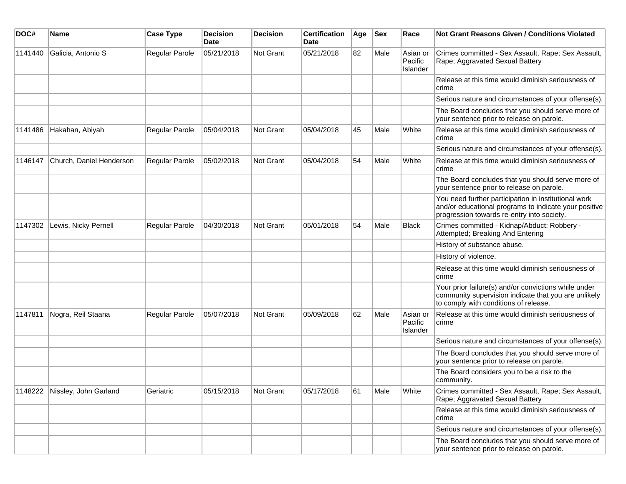| DOC#    | Name                     | <b>Case Type</b>      | <b>Decision</b><br>Date | <b>Decision</b> | <b>Certification</b><br>Date | Age | <b>Sex</b> | Race                            | <b>Not Grant Reasons Given / Conditions Violated</b>                                                                                                        |
|---------|--------------------------|-----------------------|-------------------------|-----------------|------------------------------|-----|------------|---------------------------------|-------------------------------------------------------------------------------------------------------------------------------------------------------------|
| 1141440 | Galicia, Antonio S       | Regular Parole        | 05/21/2018              | Not Grant       | 05/21/2018                   | 82  | Male       | Asian or<br>Pacific<br>Islander | Crimes committed - Sex Assault, Rape; Sex Assault,<br>Rape; Aggravated Sexual Battery                                                                       |
|         |                          |                       |                         |                 |                              |     |            |                                 | Release at this time would diminish seriousness of<br>crime                                                                                                 |
|         |                          |                       |                         |                 |                              |     |            |                                 | Serious nature and circumstances of your offense(s).                                                                                                        |
|         |                          |                       |                         |                 |                              |     |            |                                 | The Board concludes that you should serve more of<br>your sentence prior to release on parole.                                                              |
| 1141486 | Hakahan, Abiyah          | Regular Parole        | 05/04/2018              | Not Grant       | 05/04/2018                   | 45  | Male       | White                           | Release at this time would diminish seriousness of<br>crime                                                                                                 |
|         |                          |                       |                         |                 |                              |     |            |                                 | Serious nature and circumstances of your offense(s).                                                                                                        |
| 1146147 | Church, Daniel Henderson | Regular Parole        | 05/02/2018              | Not Grant       | 05/04/2018                   | 54  | Male       | White                           | Release at this time would diminish seriousness of<br>crime                                                                                                 |
|         |                          |                       |                         |                 |                              |     |            |                                 | The Board concludes that you should serve more of<br>your sentence prior to release on parole.                                                              |
|         |                          |                       |                         |                 |                              |     |            |                                 | You need further participation in institutional work<br>and/or educational programs to indicate your positive<br>progression towards re-entry into society. |
| 1147302 | Lewis, Nicky Pernell     | <b>Regular Parole</b> | 04/30/2018              | Not Grant       | 05/01/2018                   | 54  | Male       | <b>Black</b>                    | Crimes committed - Kidnap/Abduct; Robbery -<br>Attempted; Breaking And Entering                                                                             |
|         |                          |                       |                         |                 |                              |     |            |                                 | History of substance abuse.                                                                                                                                 |
|         |                          |                       |                         |                 |                              |     |            |                                 | History of violence.                                                                                                                                        |
|         |                          |                       |                         |                 |                              |     |            |                                 | Release at this time would diminish seriousness of<br>crime                                                                                                 |
|         |                          |                       |                         |                 |                              |     |            |                                 | Your prior failure(s) and/or convictions while under<br>community supervision indicate that you are unlikely<br>to comply with conditions of release.       |
| 1147811 | Nogra, Reil Staana       | <b>Regular Parole</b> | 05/07/2018              | Not Grant       | 05/09/2018                   | 62  | Male       | Asian or<br>Pacific<br>Islander | Release at this time would diminish seriousness of<br>crime                                                                                                 |
|         |                          |                       |                         |                 |                              |     |            |                                 | Serious nature and circumstances of your offense(s).                                                                                                        |
|         |                          |                       |                         |                 |                              |     |            |                                 | The Board concludes that you should serve more of<br>your sentence prior to release on parole.                                                              |
|         |                          |                       |                         |                 |                              |     |            |                                 | The Board considers you to be a risk to the<br>community.                                                                                                   |
| 1148222 | Nissley, John Garland    | Geriatric             | 05/15/2018              | Not Grant       | 05/17/2018                   | 61  | Male       | White                           | Crimes committed - Sex Assault, Rape; Sex Assault,<br>Rape; Aggravated Sexual Battery                                                                       |
|         |                          |                       |                         |                 |                              |     |            |                                 | Release at this time would diminish seriousness of<br>crime                                                                                                 |
|         |                          |                       |                         |                 |                              |     |            |                                 | Serious nature and circumstances of your offense(s).                                                                                                        |
|         |                          |                       |                         |                 |                              |     |            |                                 | The Board concludes that you should serve more of<br>your sentence prior to release on parole.                                                              |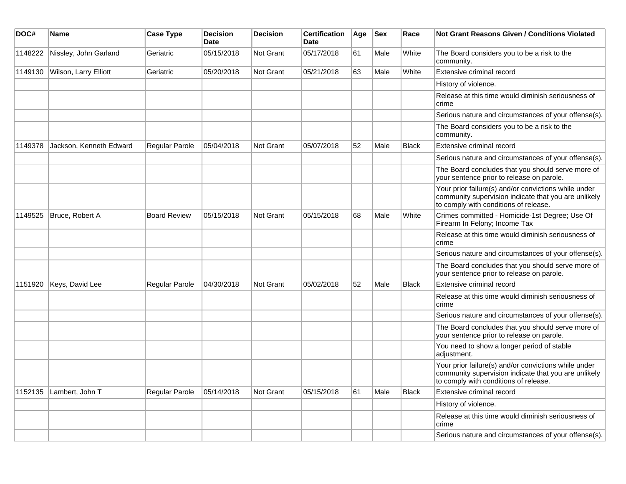| DOC#    | Name                    | <b>Case Type</b>      | <b>Decision</b><br><b>Date</b> | <b>Decision</b>  | <b>Certification</b><br><b>Date</b> | Age | <b>Sex</b> | Race         | <b>Not Grant Reasons Given / Conditions Violated</b>                                                                                                  |
|---------|-------------------------|-----------------------|--------------------------------|------------------|-------------------------------------|-----|------------|--------------|-------------------------------------------------------------------------------------------------------------------------------------------------------|
| 1148222 | Nissley, John Garland   | Geriatric             | 05/15/2018                     | <b>Not Grant</b> | 05/17/2018                          | 61  | Male       | White        | The Board considers you to be a risk to the<br>community.                                                                                             |
| 1149130 | Wilson, Larry Elliott   | Geriatric             | 05/20/2018                     | <b>Not Grant</b> | 05/21/2018                          | 63  | Male       | White        | Extensive criminal record                                                                                                                             |
|         |                         |                       |                                |                  |                                     |     |            |              | History of violence.                                                                                                                                  |
|         |                         |                       |                                |                  |                                     |     |            |              | Release at this time would diminish seriousness of<br>crime                                                                                           |
|         |                         |                       |                                |                  |                                     |     |            |              | Serious nature and circumstances of your offense(s).                                                                                                  |
|         |                         |                       |                                |                  |                                     |     |            |              | The Board considers you to be a risk to the<br>community.                                                                                             |
| 1149378 | Jackson, Kenneth Edward | Regular Parole        | 05/04/2018                     | <b>Not Grant</b> | 05/07/2018                          | 52  | Male       | <b>Black</b> | Extensive criminal record                                                                                                                             |
|         |                         |                       |                                |                  |                                     |     |            |              | Serious nature and circumstances of your offense(s).                                                                                                  |
|         |                         |                       |                                |                  |                                     |     |            |              | The Board concludes that you should serve more of<br>your sentence prior to release on parole.                                                        |
|         |                         |                       |                                |                  |                                     |     |            |              | Your prior failure(s) and/or convictions while under<br>community supervision indicate that you are unlikely<br>to comply with conditions of release. |
| 1149525 | Bruce, Robert A         | <b>Board Review</b>   | 05/15/2018                     | Not Grant        | 05/15/2018                          | 68  | Male       | White        | Crimes committed - Homicide-1st Degree; Use Of<br>Firearm In Felony; Income Tax                                                                       |
|         |                         |                       |                                |                  |                                     |     |            |              | Release at this time would diminish seriousness of<br>crime                                                                                           |
|         |                         |                       |                                |                  |                                     |     |            |              | Serious nature and circumstances of your offense(s).                                                                                                  |
|         |                         |                       |                                |                  |                                     |     |            |              | The Board concludes that you should serve more of<br>your sentence prior to release on parole.                                                        |
| 1151920 | Keys, David Lee         | Regular Parole        | 04/30/2018                     | <b>Not Grant</b> | 05/02/2018                          | 52  | Male       | <b>Black</b> | Extensive criminal record                                                                                                                             |
|         |                         |                       |                                |                  |                                     |     |            |              | Release at this time would diminish seriousness of<br>crime                                                                                           |
|         |                         |                       |                                |                  |                                     |     |            |              | Serious nature and circumstances of your offense(s).                                                                                                  |
|         |                         |                       |                                |                  |                                     |     |            |              | The Board concludes that you should serve more of<br>your sentence prior to release on parole.                                                        |
|         |                         |                       |                                |                  |                                     |     |            |              | You need to show a longer period of stable<br>adjustment.                                                                                             |
|         |                         |                       |                                |                  |                                     |     |            |              | Your prior failure(s) and/or convictions while under<br>community supervision indicate that you are unlikely<br>to comply with conditions of release. |
| 1152135 | Lambert, John T         | <b>Regular Parole</b> | 05/14/2018                     | <b>Not Grant</b> | 05/15/2018                          | 61  | Male       | <b>Black</b> | Extensive criminal record                                                                                                                             |
|         |                         |                       |                                |                  |                                     |     |            |              | History of violence.                                                                                                                                  |
|         |                         |                       |                                |                  |                                     |     |            |              | Release at this time would diminish seriousness of<br>crime                                                                                           |
|         |                         |                       |                                |                  |                                     |     |            |              | Serious nature and circumstances of your offense(s).                                                                                                  |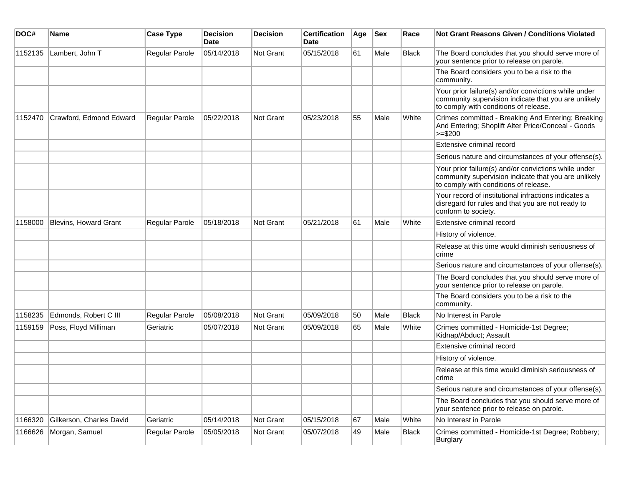| DOC#    | Name                         | <b>Case Type</b> | <b>Decision</b><br><b>Date</b> | <b>Decision</b>  | <b>Certification</b><br>Date | Age | $ $ Sex | Race         | Not Grant Reasons Given / Conditions Violated                                                                                                         |
|---------|------------------------------|------------------|--------------------------------|------------------|------------------------------|-----|---------|--------------|-------------------------------------------------------------------------------------------------------------------------------------------------------|
| 1152135 | Lambert, John T              | Regular Parole   | 05/14/2018                     | Not Grant        | 05/15/2018                   | 61  | Male    | <b>Black</b> | The Board concludes that you should serve more of<br>your sentence prior to release on parole.                                                        |
|         |                              |                  |                                |                  |                              |     |         |              | The Board considers you to be a risk to the<br>community.                                                                                             |
|         |                              |                  |                                |                  |                              |     |         |              | Your prior failure(s) and/or convictions while under<br>community supervision indicate that you are unlikely<br>to comply with conditions of release. |
| 1152470 | Crawford, Edmond Edward      | Regular Parole   | 05/22/2018                     | <b>Not Grant</b> | 05/23/2018                   | 55  | Male    | White        | Crimes committed - Breaking And Entering; Breaking<br>And Entering; Shoplift Alter Price/Conceal - Goods<br>$\ge$ = \$200                             |
|         |                              |                  |                                |                  |                              |     |         |              | Extensive criminal record                                                                                                                             |
|         |                              |                  |                                |                  |                              |     |         |              | Serious nature and circumstances of your offense(s).                                                                                                  |
|         |                              |                  |                                |                  |                              |     |         |              | Your prior failure(s) and/or convictions while under<br>community supervision indicate that you are unlikely<br>to comply with conditions of release. |
|         |                              |                  |                                |                  |                              |     |         |              | Your record of institutional infractions indicates a<br>disregard for rules and that you are not ready to<br>conform to society.                      |
| 1158000 | <b>Blevins, Howard Grant</b> | Regular Parole   | 05/18/2018                     | Not Grant        | 05/21/2018                   | 61  | Male    | White        | Extensive criminal record                                                                                                                             |
|         |                              |                  |                                |                  |                              |     |         |              | History of violence.                                                                                                                                  |
|         |                              |                  |                                |                  |                              |     |         |              | Release at this time would diminish seriousness of<br>crime                                                                                           |
|         |                              |                  |                                |                  |                              |     |         |              | Serious nature and circumstances of your offense(s).                                                                                                  |
|         |                              |                  |                                |                  |                              |     |         |              | The Board concludes that you should serve more of<br>your sentence prior to release on parole.                                                        |
|         |                              |                  |                                |                  |                              |     |         |              | The Board considers you to be a risk to the<br>community.                                                                                             |
| 1158235 | Edmonds, Robert C III        | Regular Parole   | 05/08/2018                     | Not Grant        | 05/09/2018                   | 50  | Male    | <b>Black</b> | No Interest in Parole                                                                                                                                 |
| 1159159 | Poss, Floyd Milliman         | Geriatric        | 05/07/2018                     | <b>Not Grant</b> | 05/09/2018                   | 65  | Male    | White        | Crimes committed - Homicide-1st Degree;<br>Kidnap/Abduct; Assault                                                                                     |
|         |                              |                  |                                |                  |                              |     |         |              | Extensive criminal record                                                                                                                             |
|         |                              |                  |                                |                  |                              |     |         |              | History of violence.                                                                                                                                  |
|         |                              |                  |                                |                  |                              |     |         |              | Release at this time would diminish seriousness of<br>crime                                                                                           |
|         |                              |                  |                                |                  |                              |     |         |              | Serious nature and circumstances of your offense(s).                                                                                                  |
|         |                              |                  |                                |                  |                              |     |         |              | The Board concludes that you should serve more of<br>your sentence prior to release on parole.                                                        |
| 1166320 | Gilkerson, Charles David     | Geriatric        | 05/14/2018                     | Not Grant        | 05/15/2018                   | 67  | Male    | White        | No Interest in Parole                                                                                                                                 |
| 1166626 | Morgan, Samuel               | Regular Parole   | 05/05/2018                     | Not Grant        | 05/07/2018                   | 49  | Male    | <b>Black</b> | Crimes committed - Homicide-1st Degree; Robbery;<br><b>Burglary</b>                                                                                   |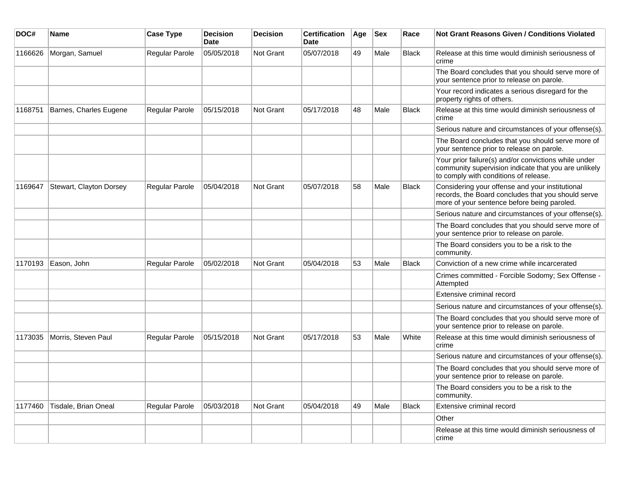| DOC#    | Name                    | <b>Case Type</b> | <b>Decision</b><br>Date | <b>Decision</b> | <b>Certification</b><br>Date | Age | <b>Sex</b> | Race         | Not Grant Reasons Given / Conditions Violated                                                                                                         |
|---------|-------------------------|------------------|-------------------------|-----------------|------------------------------|-----|------------|--------------|-------------------------------------------------------------------------------------------------------------------------------------------------------|
| 1166626 | Morgan, Samuel          | Regular Parole   | 05/05/2018              | Not Grant       | 05/07/2018                   | 49  | Male       | <b>Black</b> | Release at this time would diminish seriousness of<br>crime                                                                                           |
|         |                         |                  |                         |                 |                              |     |            |              | The Board concludes that you should serve more of<br>your sentence prior to release on parole.                                                        |
|         |                         |                  |                         |                 |                              |     |            |              | Your record indicates a serious disregard for the<br>property rights of others.                                                                       |
| 1168751 | Barnes, Charles Eugene  | Regular Parole   | 05/15/2018              | Not Grant       | 05/17/2018                   | 48  | Male       | <b>Black</b> | Release at this time would diminish seriousness of<br>crime                                                                                           |
|         |                         |                  |                         |                 |                              |     |            |              | Serious nature and circumstances of your offense(s).                                                                                                  |
|         |                         |                  |                         |                 |                              |     |            |              | The Board concludes that you should serve more of<br>your sentence prior to release on parole.                                                        |
|         |                         |                  |                         |                 |                              |     |            |              | Your prior failure(s) and/or convictions while under<br>community supervision indicate that you are unlikely<br>to comply with conditions of release. |
| 1169647 | Stewart, Clayton Dorsey | Regular Parole   | 05/04/2018              | Not Grant       | 05/07/2018                   | 58  | Male       | <b>Black</b> | Considering your offense and your institutional<br>records, the Board concludes that you should serve<br>more of your sentence before being paroled.  |
|         |                         |                  |                         |                 |                              |     |            |              | Serious nature and circumstances of your offense(s).                                                                                                  |
|         |                         |                  |                         |                 |                              |     |            |              | The Board concludes that you should serve more of<br>your sentence prior to release on parole.                                                        |
|         |                         |                  |                         |                 |                              |     |            |              | The Board considers you to be a risk to the<br>community.                                                                                             |
| 1170193 | Eason, John             | Regular Parole   | 05/02/2018              | Not Grant       | 05/04/2018                   | 53  | Male       | <b>Black</b> | Conviction of a new crime while incarcerated                                                                                                          |
|         |                         |                  |                         |                 |                              |     |            |              | Crimes committed - Forcible Sodomy; Sex Offense -<br>Attempted                                                                                        |
|         |                         |                  |                         |                 |                              |     |            |              | Extensive criminal record                                                                                                                             |
|         |                         |                  |                         |                 |                              |     |            |              | Serious nature and circumstances of your offense(s).                                                                                                  |
|         |                         |                  |                         |                 |                              |     |            |              | The Board concludes that you should serve more of<br>your sentence prior to release on parole.                                                        |
| 1173035 | Morris, Steven Paul     | Regular Parole   | 05/15/2018              | Not Grant       | 05/17/2018                   | 53  | Male       | White        | Release at this time would diminish seriousness of<br>crime                                                                                           |
|         |                         |                  |                         |                 |                              |     |            |              | Serious nature and circumstances of your offense(s).                                                                                                  |
|         |                         |                  |                         |                 |                              |     |            |              | The Board concludes that you should serve more of<br>your sentence prior to release on parole.                                                        |
|         |                         |                  |                         |                 |                              |     |            |              | The Board considers you to be a risk to the<br>community.                                                                                             |
| 1177460 | Tisdale, Brian Oneal    | Regular Parole   | 05/03/2018              | Not Grant       | 05/04/2018                   | 49  | Male       | Black        | Extensive criminal record                                                                                                                             |
|         |                         |                  |                         |                 |                              |     |            |              | Other                                                                                                                                                 |
|         |                         |                  |                         |                 |                              |     |            |              | Release at this time would diminish seriousness of<br>crime                                                                                           |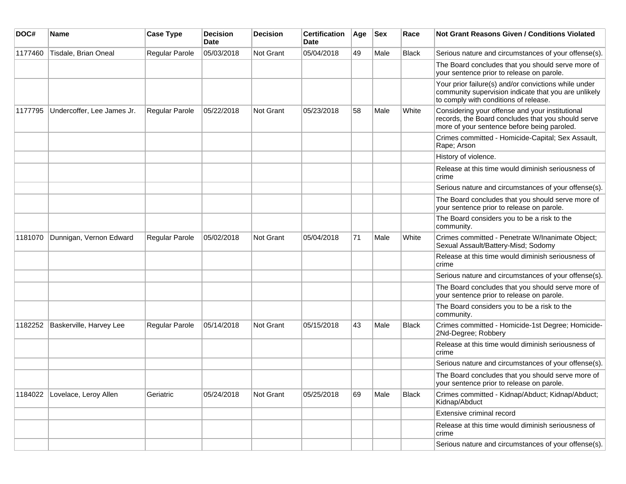| DOC#    | Name                       | <b>Case Type</b>      | <b>Decision</b><br><b>Date</b> | <b>Decision</b> | <b>Certification</b><br>Date | Age | <b>Sex</b> | Race         | Not Grant Reasons Given / Conditions Violated                                                                                                         |
|---------|----------------------------|-----------------------|--------------------------------|-----------------|------------------------------|-----|------------|--------------|-------------------------------------------------------------------------------------------------------------------------------------------------------|
| 1177460 | Tisdale, Brian Oneal       | Regular Parole        | 05/03/2018                     | Not Grant       | 05/04/2018                   | 49  | Male       | <b>Black</b> | Serious nature and circumstances of your offense(s).                                                                                                  |
|         |                            |                       |                                |                 |                              |     |            |              | The Board concludes that you should serve more of<br>your sentence prior to release on parole.                                                        |
|         |                            |                       |                                |                 |                              |     |            |              | Your prior failure(s) and/or convictions while under<br>community supervision indicate that you are unlikely<br>to comply with conditions of release. |
| 1177795 | Undercoffer, Lee James Jr. | <b>Regular Parole</b> | 05/22/2018                     | Not Grant       | 05/23/2018                   | 58  | Male       | White        | Considering your offense and your institutional<br>records, the Board concludes that you should serve<br>more of your sentence before being paroled.  |
|         |                            |                       |                                |                 |                              |     |            |              | Crimes committed - Homicide-Capital; Sex Assault,<br>Rape; Arson                                                                                      |
|         |                            |                       |                                |                 |                              |     |            |              | History of violence.                                                                                                                                  |
|         |                            |                       |                                |                 |                              |     |            |              | Release at this time would diminish seriousness of<br>crime                                                                                           |
|         |                            |                       |                                |                 |                              |     |            |              | Serious nature and circumstances of your offense(s).                                                                                                  |
|         |                            |                       |                                |                 |                              |     |            |              | The Board concludes that you should serve more of<br>your sentence prior to release on parole.                                                        |
|         |                            |                       |                                |                 |                              |     |            |              | The Board considers you to be a risk to the<br>community.                                                                                             |
| 1181070 | Dunnigan, Vernon Edward    | <b>Regular Parole</b> | 05/02/2018                     | Not Grant       | 05/04/2018                   | 71  | Male       | White        | Crimes committed - Penetrate W/Inanimate Object;<br>Sexual Assault/Battery-Misd; Sodomy                                                               |
|         |                            |                       |                                |                 |                              |     |            |              | Release at this time would diminish seriousness of<br>crime                                                                                           |
|         |                            |                       |                                |                 |                              |     |            |              | Serious nature and circumstances of your offense(s).                                                                                                  |
|         |                            |                       |                                |                 |                              |     |            |              | The Board concludes that you should serve more of<br>your sentence prior to release on parole.                                                        |
|         |                            |                       |                                |                 |                              |     |            |              | The Board considers you to be a risk to the<br>community.                                                                                             |
| 1182252 | Baskerville, Harvey Lee    | Regular Parole        | 05/14/2018                     | Not Grant       | 05/15/2018                   | 43  | Male       | <b>Black</b> | Crimes committed - Homicide-1st Degree; Homicide-<br>2Nd-Degree; Robbery                                                                              |
|         |                            |                       |                                |                 |                              |     |            |              | Release at this time would diminish seriousness of<br>crime                                                                                           |
|         |                            |                       |                                |                 |                              |     |            |              | Serious nature and circumstances of your offense(s).                                                                                                  |
|         |                            |                       |                                |                 |                              |     |            |              | The Board concludes that you should serve more of<br>your sentence prior to release on parole.                                                        |
| 1184022 | Lovelace, Leroy Allen      | Geriatric             | 05/24/2018                     | Not Grant       | 05/25/2018                   | 69  | Male       | <b>Black</b> | Crimes committed - Kidnap/Abduct; Kidnap/Abduct;<br>Kidnap/Abduct                                                                                     |
|         |                            |                       |                                |                 |                              |     |            |              | Extensive criminal record                                                                                                                             |
|         |                            |                       |                                |                 |                              |     |            |              | Release at this time would diminish seriousness of<br>crime                                                                                           |
|         |                            |                       |                                |                 |                              |     |            |              | Serious nature and circumstances of your offense(s).                                                                                                  |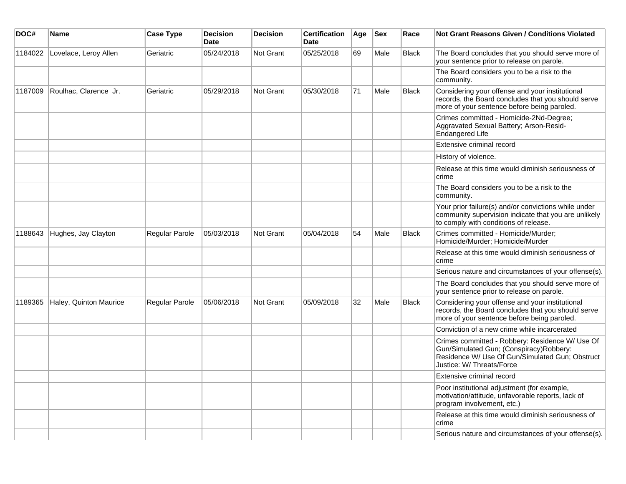| DOC#    | <b>Name</b>            | <b>Case Type</b> | <b>Decision</b><br><b>Date</b> | <b>Decision</b>  | <b>Certification</b><br><b>Date</b> | Age | <b>Sex</b> | Race         | <b>Not Grant Reasons Given / Conditions Violated</b>                                                                                                                       |
|---------|------------------------|------------------|--------------------------------|------------------|-------------------------------------|-----|------------|--------------|----------------------------------------------------------------------------------------------------------------------------------------------------------------------------|
| 1184022 | Lovelace, Leroy Allen  | Geriatric        | 05/24/2018                     | Not Grant        | 05/25/2018                          | 69  | Male       | <b>Black</b> | The Board concludes that you should serve more of<br>your sentence prior to release on parole.                                                                             |
|         |                        |                  |                                |                  |                                     |     |            |              | The Board considers you to be a risk to the<br>community.                                                                                                                  |
| 1187009 | Roulhac, Clarence Jr.  | Geriatric        | 05/29/2018                     | Not Grant        | 05/30/2018                          | 71  | Male       | <b>Black</b> | Considering your offense and your institutional<br>records, the Board concludes that you should serve<br>more of your sentence before being paroled.                       |
|         |                        |                  |                                |                  |                                     |     |            |              | Crimes committed - Homicide-2Nd-Degree;<br>Aggravated Sexual Battery; Arson-Resid-<br>Endangered Life                                                                      |
|         |                        |                  |                                |                  |                                     |     |            |              | Extensive criminal record                                                                                                                                                  |
|         |                        |                  |                                |                  |                                     |     |            |              | History of violence.                                                                                                                                                       |
|         |                        |                  |                                |                  |                                     |     |            |              | Release at this time would diminish seriousness of<br>crime                                                                                                                |
|         |                        |                  |                                |                  |                                     |     |            |              | The Board considers you to be a risk to the<br>community.                                                                                                                  |
|         |                        |                  |                                |                  |                                     |     |            |              | Your prior failure(s) and/or convictions while under<br>community supervision indicate that you are unlikely<br>to comply with conditions of release.                      |
| 1188643 | Hughes, Jay Clayton    | Regular Parole   | 05/03/2018                     | <b>Not Grant</b> | 05/04/2018                          | 54  | Male       | <b>Black</b> | Crimes committed - Homicide/Murder;<br>Homicide/Murder; Homicide/Murder                                                                                                    |
|         |                        |                  |                                |                  |                                     |     |            |              | Release at this time would diminish seriousness of<br>crime                                                                                                                |
|         |                        |                  |                                |                  |                                     |     |            |              | Serious nature and circumstances of your offense(s).                                                                                                                       |
|         |                        |                  |                                |                  |                                     |     |            |              | The Board concludes that you should serve more of<br>your sentence prior to release on parole.                                                                             |
| 1189365 | Haley, Quinton Maurice | Regular Parole   | 05/06/2018                     | Not Grant        | 05/09/2018                          | 32  | Male       | <b>Black</b> | Considering your offense and your institutional<br>records, the Board concludes that you should serve<br>more of your sentence before being paroled.                       |
|         |                        |                  |                                |                  |                                     |     |            |              | Conviction of a new crime while incarcerated                                                                                                                               |
|         |                        |                  |                                |                  |                                     |     |            |              | Crimes committed - Robbery: Residence W/ Use Of<br>Gun/Simulated Gun; (Conspiracy)Robbery:<br>Residence W/ Use Of Gun/Simulated Gun; Obstruct<br>Justice: W/ Threats/Force |
|         |                        |                  |                                |                  |                                     |     |            |              | Extensive criminal record                                                                                                                                                  |
|         |                        |                  |                                |                  |                                     |     |            |              | Poor institutional adjustment (for example,<br>motivation/attitude, unfavorable reports, lack of<br>program involvement, etc.)                                             |
|         |                        |                  |                                |                  |                                     |     |            |              | Release at this time would diminish seriousness of<br>crime                                                                                                                |
|         |                        |                  |                                |                  |                                     |     |            |              | Serious nature and circumstances of your offense(s).                                                                                                                       |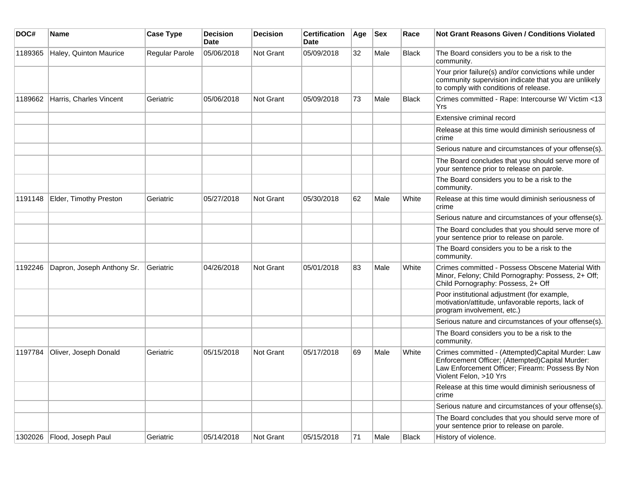| DOC#    | <b>Name</b>                | <b>Case Type</b> | Decision<br><b>Date</b> | <b>Decision</b>  | <b>Certification</b><br>Date | Age | <b>Sex</b> | Race  | <b>Not Grant Reasons Given / Conditions Violated</b>                                                                                                                               |
|---------|----------------------------|------------------|-------------------------|------------------|------------------------------|-----|------------|-------|------------------------------------------------------------------------------------------------------------------------------------------------------------------------------------|
| 1189365 | Haley, Quinton Maurice     | Regular Parole   | 05/06/2018              | Not Grant        | 05/09/2018                   | 32  | Male       | Black | The Board considers you to be a risk to the<br>community.                                                                                                                          |
|         |                            |                  |                         |                  |                              |     |            |       | Your prior failure(s) and/or convictions while under<br>community supervision indicate that you are unlikely<br>to comply with conditions of release.                              |
| 1189662 | Harris, Charles Vincent    | Geriatric        | 05/06/2018              | Not Grant        | 05/09/2018                   | 73  | Male       | Black | Crimes committed - Rape: Intercourse W/ Victim <13<br>Yrs                                                                                                                          |
|         |                            |                  |                         |                  |                              |     |            |       | Extensive criminal record                                                                                                                                                          |
|         |                            |                  |                         |                  |                              |     |            |       | Release at this time would diminish seriousness of<br>crime                                                                                                                        |
|         |                            |                  |                         |                  |                              |     |            |       | Serious nature and circumstances of your offense(s).                                                                                                                               |
|         |                            |                  |                         |                  |                              |     |            |       | The Board concludes that you should serve more of<br>your sentence prior to release on parole.                                                                                     |
|         |                            |                  |                         |                  |                              |     |            |       | The Board considers you to be a risk to the<br>community.                                                                                                                          |
| 1191148 | Elder, Timothy Preston     | Geriatric        | 05/27/2018              | <b>Not Grant</b> | 05/30/2018                   | 62  | Male       | White | Release at this time would diminish seriousness of<br>crime                                                                                                                        |
|         |                            |                  |                         |                  |                              |     |            |       | Serious nature and circumstances of your offense(s).                                                                                                                               |
|         |                            |                  |                         |                  |                              |     |            |       | The Board concludes that you should serve more of<br>your sentence prior to release on parole.                                                                                     |
|         |                            |                  |                         |                  |                              |     |            |       | The Board considers you to be a risk to the<br>community.                                                                                                                          |
| 1192246 | Dapron, Joseph Anthony Sr. | Geriatric        | 04/26/2018              | <b>Not Grant</b> | 05/01/2018                   | 83  | Male       | White | Crimes committed - Possess Obscene Material With<br>Minor, Felony; Child Pornography: Possess, 2+ Off;<br>Child Pornography: Possess, 2+ Off                                       |
|         |                            |                  |                         |                  |                              |     |            |       | Poor institutional adjustment (for example,<br>motivation/attitude, unfavorable reports, lack of<br>program involvement, etc.)                                                     |
|         |                            |                  |                         |                  |                              |     |            |       | Serious nature and circumstances of your offense(s).                                                                                                                               |
|         |                            |                  |                         |                  |                              |     |            |       | The Board considers you to be a risk to the<br>community.                                                                                                                          |
| 1197784 | Oliver, Joseph Donald      | Geriatric        | 05/15/2018              | Not Grant        | 05/17/2018                   | 69  | Male       | White | Crimes committed - (Attempted)Capital Murder: Law<br>Enforcement Officer; (Attempted)Capital Murder:<br>Law Enforcement Officer; Firearm: Possess By Non<br>Violent Felon, >10 Yrs |
|         |                            |                  |                         |                  |                              |     |            |       | Release at this time would diminish seriousness of<br>crime                                                                                                                        |
|         |                            |                  |                         |                  |                              |     |            |       | Serious nature and circumstances of your offense(s).                                                                                                                               |
|         |                            |                  |                         |                  |                              |     |            |       | The Board concludes that you should serve more of<br>your sentence prior to release on parole.                                                                                     |
| 1302026 | Flood, Joseph Paul         | Geriatric        | 05/14/2018              | Not Grant        | 05/15/2018                   | 71  | Male       | Black | History of violence.                                                                                                                                                               |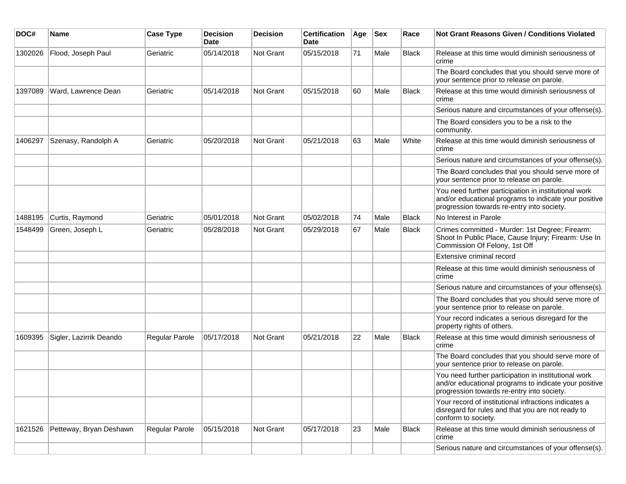| DOC#    | <b>Name</b>             | <b>Case Type</b>      | <b>Decision</b><br><b>Date</b> | <b>Decision</b> | <b>Certification</b><br>Date | Age | <b>Sex</b> | Race         | <b>Not Grant Reasons Given / Conditions Violated</b>                                                                                                        |
|---------|-------------------------|-----------------------|--------------------------------|-----------------|------------------------------|-----|------------|--------------|-------------------------------------------------------------------------------------------------------------------------------------------------------------|
| 1302026 | Flood, Joseph Paul      | Geriatric             | 05/14/2018                     | Not Grant       | 05/15/2018                   | 71  | Male       | <b>Black</b> | Release at this time would diminish seriousness of<br>crime                                                                                                 |
|         |                         |                       |                                |                 |                              |     |            |              | The Board concludes that you should serve more of<br>your sentence prior to release on parole.                                                              |
| 1397089 | Ward, Lawrence Dean     | Geriatric             | 05/14/2018                     | Not Grant       | 05/15/2018                   | 60  | Male       | <b>Black</b> | Release at this time would diminish seriousness of<br>crime                                                                                                 |
|         |                         |                       |                                |                 |                              |     |            |              | Serious nature and circumstances of your offense(s).                                                                                                        |
|         |                         |                       |                                |                 |                              |     |            |              | The Board considers you to be a risk to the<br>community.                                                                                                   |
| 1406297 | Szenasy, Randolph A     | Geriatric             | 05/20/2018                     | Not Grant       | 05/21/2018                   | 63  | Male       | White        | Release at this time would diminish seriousness of<br>crime                                                                                                 |
|         |                         |                       |                                |                 |                              |     |            |              | Serious nature and circumstances of your offense(s).                                                                                                        |
|         |                         |                       |                                |                 |                              |     |            |              | The Board concludes that you should serve more of<br>your sentence prior to release on parole.                                                              |
|         |                         |                       |                                |                 |                              |     |            |              | You need further participation in institutional work<br>and/or educational programs to indicate your positive<br>progression towards re-entry into society. |
| 1488195 | Curtis, Raymond         | Geriatric             | 05/01/2018                     | Not Grant       | 05/02/2018                   | 74  | Male       | <b>Black</b> | No Interest in Parole                                                                                                                                       |
| 1548499 | Green, Joseph L         | Geriatric             | 05/28/2018                     | Not Grant       | 05/29/2018                   | 67  | Male       | <b>Black</b> | Crimes committed - Murder: 1st Degree; Firearm:<br>Shoot In Public Place, Cause Injury; Firearm: Use In<br>Commission Of Felony, 1st Off                    |
|         |                         |                       |                                |                 |                              |     |            |              | Extensive criminal record                                                                                                                                   |
|         |                         |                       |                                |                 |                              |     |            |              | Release at this time would diminish seriousness of<br>crime                                                                                                 |
|         |                         |                       |                                |                 |                              |     |            |              | Serious nature and circumstances of your offense(s).                                                                                                        |
|         |                         |                       |                                |                 |                              |     |            |              | The Board concludes that you should serve more of<br>your sentence prior to release on parole.                                                              |
|         |                         |                       |                                |                 |                              |     |            |              | Your record indicates a serious disregard for the<br>property rights of others.                                                                             |
| 1609395 | Sigler, Lazirrik Deando | <b>Regular Parole</b> | 05/17/2018                     | Not Grant       | 05/21/2018                   | 22  | Male       | <b>Black</b> | Release at this time would diminish seriousness of<br>crime                                                                                                 |
|         |                         |                       |                                |                 |                              |     |            |              | The Board concludes that you should serve more of<br>your sentence prior to release on parole.                                                              |
|         |                         |                       |                                |                 |                              |     |            |              | You need further participation in institutional work<br>and/or educational programs to indicate your positive<br>progression towards re-entry into society. |
|         |                         |                       |                                |                 |                              |     |            |              | Your record of institutional infractions indicates a<br>disregard for rules and that you are not ready to<br>conform to society.                            |
| 1621526 | Petteway, Bryan Deshawn | <b>Regular Parole</b> | 05/15/2018                     | Not Grant       | 05/17/2018                   | 23  | Male       | <b>Black</b> | Release at this time would diminish seriousness of<br>crime                                                                                                 |
|         |                         |                       |                                |                 |                              |     |            |              | Serious nature and circumstances of your offense(s).                                                                                                        |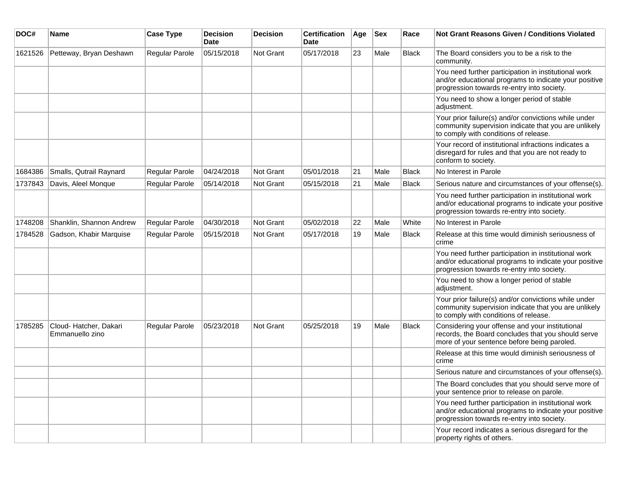| DOC#    | <b>Name</b>                               | <b>Case Type</b>      | <b>Decision</b><br><b>Date</b> | <b>Decision</b> | <b>Certification</b><br><b>Date</b> | Age | <b>Sex</b> | Race         | <b>Not Grant Reasons Given / Conditions Violated</b>                                                                                                        |
|---------|-------------------------------------------|-----------------------|--------------------------------|-----------------|-------------------------------------|-----|------------|--------------|-------------------------------------------------------------------------------------------------------------------------------------------------------------|
| 1621526 | Petteway, Bryan Deshawn                   | Regular Parole        | 05/15/2018                     | Not Grant       | 05/17/2018                          | 23  | Male       | <b>Black</b> | The Board considers you to be a risk to the<br>community.                                                                                                   |
|         |                                           |                       |                                |                 |                                     |     |            |              | You need further participation in institutional work<br>and/or educational programs to indicate your positive<br>progression towards re-entry into society. |
|         |                                           |                       |                                |                 |                                     |     |            |              | You need to show a longer period of stable<br>adjustment.                                                                                                   |
|         |                                           |                       |                                |                 |                                     |     |            |              | Your prior failure(s) and/or convictions while under<br>community supervision indicate that you are unlikely<br>to comply with conditions of release.       |
|         |                                           |                       |                                |                 |                                     |     |            |              | Your record of institutional infractions indicates a<br>disregard for rules and that you are not ready to<br>conform to society.                            |
| 1684386 | Smalls, Qutrail Raynard                   | Regular Parole        | 04/24/2018                     | Not Grant       | 05/01/2018                          | 21  | Male       | <b>Black</b> | No Interest in Parole                                                                                                                                       |
| 1737843 | Davis, Aleel Monque                       | Regular Parole        | 05/14/2018                     | Not Grant       | 05/15/2018                          | 21  | Male       | <b>Black</b> | Serious nature and circumstances of your offense(s).                                                                                                        |
|         |                                           |                       |                                |                 |                                     |     |            |              | You need further participation in institutional work<br>and/or educational programs to indicate your positive<br>progression towards re-entry into society. |
| 1748208 | Shanklin, Shannon Andrew                  | Regular Parole        | 04/30/2018                     | Not Grant       | 05/02/2018                          | 22  | Male       | White        | No Interest in Parole                                                                                                                                       |
| 1784528 | Gadson, Khabir Marquise                   | <b>Regular Parole</b> | 05/15/2018                     | Not Grant       | 05/17/2018                          | 19  | Male       | <b>Black</b> | Release at this time would diminish seriousness of<br>crime                                                                                                 |
|         |                                           |                       |                                |                 |                                     |     |            |              | You need further participation in institutional work<br>and/or educational programs to indicate your positive<br>progression towards re-entry into society. |
|         |                                           |                       |                                |                 |                                     |     |            |              | You need to show a longer period of stable<br>adjustment.                                                                                                   |
|         |                                           |                       |                                |                 |                                     |     |            |              | Your prior failure(s) and/or convictions while under<br>community supervision indicate that you are unlikely<br>to comply with conditions of release.       |
| 1785285 | Cloud- Hatcher, Dakari<br>Emmanuello zino | <b>Regular Parole</b> | 05/23/2018                     | Not Grant       | 05/25/2018                          | 19  | Male       | <b>Black</b> | Considering your offense and your institutional<br>records, the Board concludes that you should serve<br>more of your sentence before being paroled.        |
|         |                                           |                       |                                |                 |                                     |     |            |              | Release at this time would diminish seriousness of<br>crime                                                                                                 |
|         |                                           |                       |                                |                 |                                     |     |            |              | Serious nature and circumstances of your offense(s).                                                                                                        |
|         |                                           |                       |                                |                 |                                     |     |            |              | The Board concludes that you should serve more of<br>your sentence prior to release on parole.                                                              |
|         |                                           |                       |                                |                 |                                     |     |            |              | You need further participation in institutional work<br>and/or educational programs to indicate your positive<br>progression towards re-entry into society. |
|         |                                           |                       |                                |                 |                                     |     |            |              | Your record indicates a serious disregard for the<br>property rights of others.                                                                             |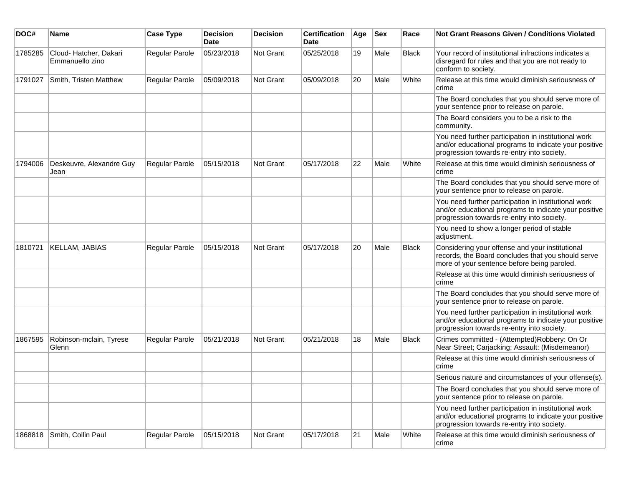| DOC#    | <b>Name</b>                              | <b>Case Type</b> | <b>Decision</b><br><b>Date</b> | <b>Decision</b>  | <b>Certification</b><br>Date | Age | <b>Sex</b> | Race         | <b>Not Grant Reasons Given / Conditions Violated</b>                                                                                                        |
|---------|------------------------------------------|------------------|--------------------------------|------------------|------------------------------|-----|------------|--------------|-------------------------------------------------------------------------------------------------------------------------------------------------------------|
| 1785285 | Cloud-Hatcher, Dakari<br>Emmanuello zino | Regular Parole   | 05/23/2018                     | <b>Not Grant</b> | 05/25/2018                   | 19  | Male       | Black        | Your record of institutional infractions indicates a<br>disregard for rules and that you are not ready to<br>conform to society.                            |
| 1791027 | Smith, Tristen Matthew                   | Regular Parole   | 05/09/2018                     | Not Grant        | 05/09/2018                   | 20  | Male       | White        | Release at this time would diminish seriousness of<br>crime                                                                                                 |
|         |                                          |                  |                                |                  |                              |     |            |              | The Board concludes that you should serve more of<br>your sentence prior to release on parole.                                                              |
|         |                                          |                  |                                |                  |                              |     |            |              | The Board considers you to be a risk to the<br>community.                                                                                                   |
|         |                                          |                  |                                |                  |                              |     |            |              | You need further participation in institutional work<br>and/or educational programs to indicate your positive<br>progression towards re-entry into society. |
| 1794006 | Deskeuvre, Alexandre Guy<br>Jean         | Regular Parole   | 05/15/2018                     | Not Grant        | 05/17/2018                   | 22  | Male       | White        | Release at this time would diminish seriousness of<br>crime                                                                                                 |
|         |                                          |                  |                                |                  |                              |     |            |              | The Board concludes that you should serve more of<br>your sentence prior to release on parole.                                                              |
|         |                                          |                  |                                |                  |                              |     |            |              | You need further participation in institutional work<br>and/or educational programs to indicate your positive<br>progression towards re-entry into society. |
|         |                                          |                  |                                |                  |                              |     |            |              | You need to show a longer period of stable<br>adjustment.                                                                                                   |
| 1810721 | <b>KELLAM, JABIAS</b>                    | Regular Parole   | 05/15/2018                     | <b>Not Grant</b> | 05/17/2018                   | 20  | Male       | <b>Black</b> | Considering your offense and your institutional<br>records, the Board concludes that you should serve<br>more of your sentence before being paroled.        |
|         |                                          |                  |                                |                  |                              |     |            |              | Release at this time would diminish seriousness of<br>crime                                                                                                 |
|         |                                          |                  |                                |                  |                              |     |            |              | The Board concludes that you should serve more of<br>your sentence prior to release on parole.                                                              |
|         |                                          |                  |                                |                  |                              |     |            |              | You need further participation in institutional work<br>and/or educational programs to indicate your positive<br>progression towards re-entry into society. |
| 1867595 | Robinson-mclain, Tyrese<br>Glenn         | Regular Parole   | 05/21/2018                     | <b>Not Grant</b> | 05/21/2018                   | 18  | Male       | Black        | Crimes committed - (Attempted)Robbery: On Or<br>Near Street; Carjacking; Assault: (Misdemeanor)                                                             |
|         |                                          |                  |                                |                  |                              |     |            |              | Release at this time would diminish seriousness of<br>crime                                                                                                 |
|         |                                          |                  |                                |                  |                              |     |            |              | Serious nature and circumstances of your offense(s).                                                                                                        |
|         |                                          |                  |                                |                  |                              |     |            |              | The Board concludes that you should serve more of<br>your sentence prior to release on parole.                                                              |
|         |                                          |                  |                                |                  |                              |     |            |              | You need further participation in institutional work<br>and/or educational programs to indicate your positive<br>progression towards re-entry into society. |
| 1868818 | Smith, Collin Paul                       | Regular Parole   | 05/15/2018                     | Not Grant        | 05/17/2018                   | 21  | Male       | White        | Release at this time would diminish seriousness of<br>crime                                                                                                 |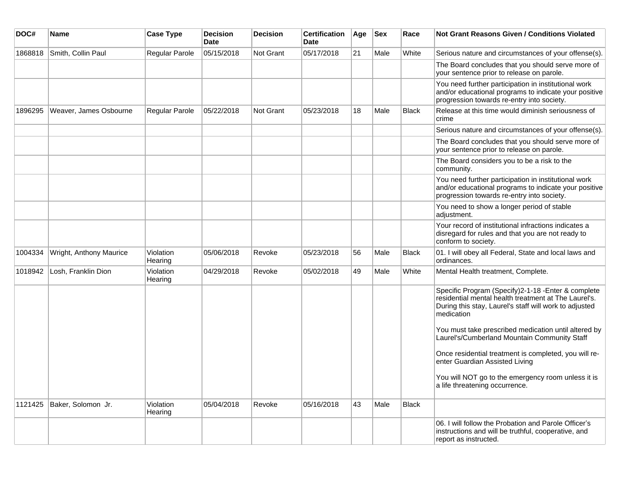| DOC#    | <b>Name</b>             | <b>Case Type</b>     | <b>Decision</b><br><b>Date</b> | <b>Decision</b> | <b>Certification</b><br><b>Date</b> | Age | <b>Sex</b> | Race         | Not Grant Reasons Given / Conditions Violated                                                                                                                                       |
|---------|-------------------------|----------------------|--------------------------------|-----------------|-------------------------------------|-----|------------|--------------|-------------------------------------------------------------------------------------------------------------------------------------------------------------------------------------|
| 1868818 | Smith, Collin Paul      | Regular Parole       | 05/15/2018                     | Not Grant       | 05/17/2018                          | 21  | Male       | White        | Serious nature and circumstances of your offense(s).                                                                                                                                |
|         |                         |                      |                                |                 |                                     |     |            |              | The Board concludes that you should serve more of<br>your sentence prior to release on parole.                                                                                      |
|         |                         |                      |                                |                 |                                     |     |            |              | You need further participation in institutional work<br>and/or educational programs to indicate your positive<br>progression towards re-entry into society.                         |
| 1896295 | Weaver, James Osbourne  | Regular Parole       | 05/22/2018                     | Not Grant       | 05/23/2018                          | 18  | Male       | Black        | Release at this time would diminish seriousness of<br>crime                                                                                                                         |
|         |                         |                      |                                |                 |                                     |     |            |              | Serious nature and circumstances of your offense(s).                                                                                                                                |
|         |                         |                      |                                |                 |                                     |     |            |              | The Board concludes that you should serve more of<br>your sentence prior to release on parole.                                                                                      |
|         |                         |                      |                                |                 |                                     |     |            |              | The Board considers you to be a risk to the<br>community.                                                                                                                           |
|         |                         |                      |                                |                 |                                     |     |            |              | You need further participation in institutional work<br>and/or educational programs to indicate your positive<br>progression towards re-entry into society.                         |
|         |                         |                      |                                |                 |                                     |     |            |              | You need to show a longer period of stable<br>adjustment.                                                                                                                           |
|         |                         |                      |                                |                 |                                     |     |            |              | Your record of institutional infractions indicates a<br>disregard for rules and that you are not ready to<br>conform to society.                                                    |
| 1004334 | Wright, Anthony Maurice | Violation<br>Hearing | 05/06/2018                     | Revoke          | 05/23/2018                          | 56  | Male       | <b>Black</b> | 01. I will obey all Federal, State and local laws and<br>ordinances.                                                                                                                |
| 1018942 | Losh, Franklin Dion     | Violation<br>Hearing | 04/29/2018                     | Revoke          | 05/02/2018                          | 49  | Male       | White        | Mental Health treatment, Complete.                                                                                                                                                  |
|         |                         |                      |                                |                 |                                     |     |            |              | Specific Program (Specify)2-1-18 - Enter & complete<br>residential mental health treatment at The Laurel's.<br>During this stay, Laurel's staff will work to adjusted<br>medication |
|         |                         |                      |                                |                 |                                     |     |            |              | You must take prescribed medication until altered by<br>Laurel's/Cumberland Mountain Community Staff                                                                                |
|         |                         |                      |                                |                 |                                     |     |            |              | Once residential treatment is completed, you will re-<br>enter Guardian Assisted Living                                                                                             |
|         |                         |                      |                                |                 |                                     |     |            |              | You will NOT go to the emergency room unless it is<br>a life threatening occurrence.                                                                                                |
| 1121425 | Baker, Solomon Jr.      | Violation<br>Hearing | 05/04/2018                     | Revoke          | 05/16/2018                          | 43  | Male       | <b>Black</b> |                                                                                                                                                                                     |
|         |                         |                      |                                |                 |                                     |     |            |              | 06. I will follow the Probation and Parole Officer's<br>instructions and will be truthful, cooperative, and<br>report as instructed.                                                |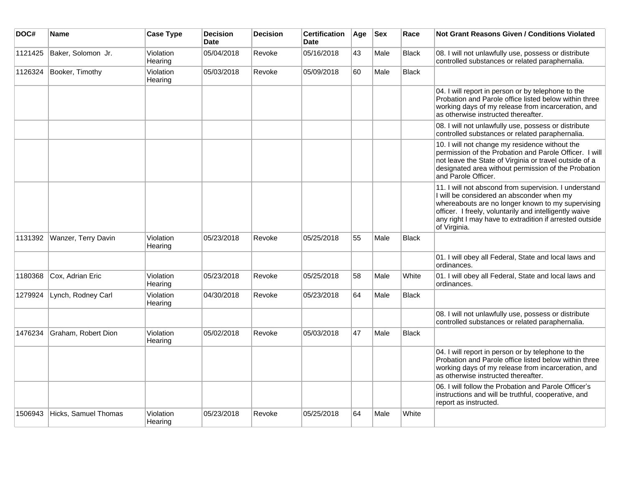| DOC#    | <b>Name</b>          | <b>Case Type</b>     | <b>Decision</b><br><b>Date</b> | <b>Decision</b> | <b>Certification</b><br><b>Date</b> | Age | <b>Sex</b> | Race         | <b>Not Grant Reasons Given / Conditions Violated</b>                                                                                                                                                                                                                                         |
|---------|----------------------|----------------------|--------------------------------|-----------------|-------------------------------------|-----|------------|--------------|----------------------------------------------------------------------------------------------------------------------------------------------------------------------------------------------------------------------------------------------------------------------------------------------|
| 1121425 | Baker, Solomon Jr.   | Violation<br>Hearing | 05/04/2018                     | Revoke          | 05/16/2018                          | 43  | Male       | Black        | 08. I will not unlawfully use, possess or distribute<br>controlled substances or related paraphernalia.                                                                                                                                                                                      |
| 1126324 | Booker, Timothy      | Violation<br>Hearing | 05/03/2018                     | Revoke          | 05/09/2018                          | 60  | Male       | <b>Black</b> |                                                                                                                                                                                                                                                                                              |
|         |                      |                      |                                |                 |                                     |     |            |              | 04. I will report in person or by telephone to the<br>Probation and Parole office listed below within three<br>working days of my release from incarceration, and<br>as otherwise instructed thereafter.                                                                                     |
|         |                      |                      |                                |                 |                                     |     |            |              | 08. I will not unlawfully use, possess or distribute<br>controlled substances or related paraphernalia.                                                                                                                                                                                      |
|         |                      |                      |                                |                 |                                     |     |            |              | 10. I will not change my residence without the<br>permission of the Probation and Parole Officer. I will<br>not leave the State of Virginia or travel outside of a<br>designated area without permission of the Probation<br>and Parole Officer.                                             |
|         |                      |                      |                                |                 |                                     |     |            |              | 11. I will not abscond from supervision. I understand<br>I will be considered an absconder when my<br>whereabouts are no longer known to my supervising<br>officer. I freely, voluntarily and intelligently waive<br>any right I may have to extradition if arrested outside<br>of Virginia. |
| 1131392 | Wanzer, Terry Davin  | Violation<br>Hearing | 05/23/2018                     | Revoke          | 05/25/2018                          | 55  | Male       | Black        |                                                                                                                                                                                                                                                                                              |
|         |                      |                      |                                |                 |                                     |     |            |              | 01. I will obey all Federal, State and local laws and<br>ordinances.                                                                                                                                                                                                                         |
| 1180368 | Cox, Adrian Eric     | Violation<br>Hearing | 05/23/2018                     | Revoke          | 05/25/2018                          | 58  | Male       | White        | 01. I will obey all Federal, State and local laws and<br>ordinances.                                                                                                                                                                                                                         |
| 1279924 | Lynch, Rodney Carl   | Violation<br>Hearing | 04/30/2018                     | Revoke          | 05/23/2018                          | 64  | Male       | <b>Black</b> |                                                                                                                                                                                                                                                                                              |
|         |                      |                      |                                |                 |                                     |     |            |              | 08. I will not unlawfully use, possess or distribute<br>controlled substances or related paraphernalia.                                                                                                                                                                                      |
| 1476234 | Graham, Robert Dion  | Violation<br>Hearing | 05/02/2018                     | Revoke          | 05/03/2018                          | 47  | Male       | <b>Black</b> |                                                                                                                                                                                                                                                                                              |
|         |                      |                      |                                |                 |                                     |     |            |              | 04. I will report in person or by telephone to the<br>Probation and Parole office listed below within three<br>working days of my release from incarceration, and<br>as otherwise instructed thereafter.                                                                                     |
|         |                      |                      |                                |                 |                                     |     |            |              | 06. I will follow the Probation and Parole Officer's<br>instructions and will be truthful, cooperative, and<br>report as instructed.                                                                                                                                                         |
| 1506943 | Hicks, Samuel Thomas | Violation<br>Hearing | 05/23/2018                     | Revoke          | 05/25/2018                          | 64  | Male       | White        |                                                                                                                                                                                                                                                                                              |